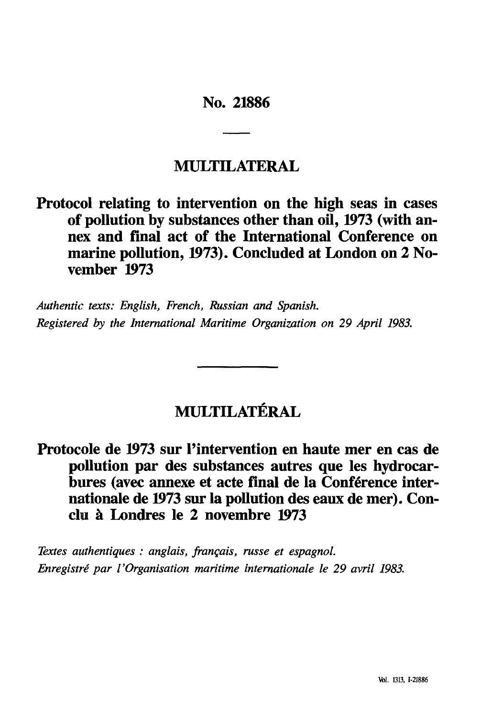# **No. 21886**

# **MULTILATERAL**

# **Protocol relating to intervention on the high seas in cases of pollution by substances other than oil, 1973 (with an nex and final act of the International Conference on**  marine pollution, 1973). Concluded at London on 2 No**vember 1973**

*Authentic texts: English, French, Russian and Spanish. Registered by the International Maritime Organization on 29 April 1983.*

# **MULTILATERAL**

# **Protocole de 1973 sur l'intervention en haute mer en cas de pollution par des substances autres que les hydrocar bures (avec annexe et acte final de la Conférence internationale de 1973 sur la pollution des eaux de mer). Con clu Londres le 2 novembre 1973**

*Textes authentiques : anglais, français, russe et espagnol. Enregistré par l'Organisation maritime internationale le 29 avril 1983.*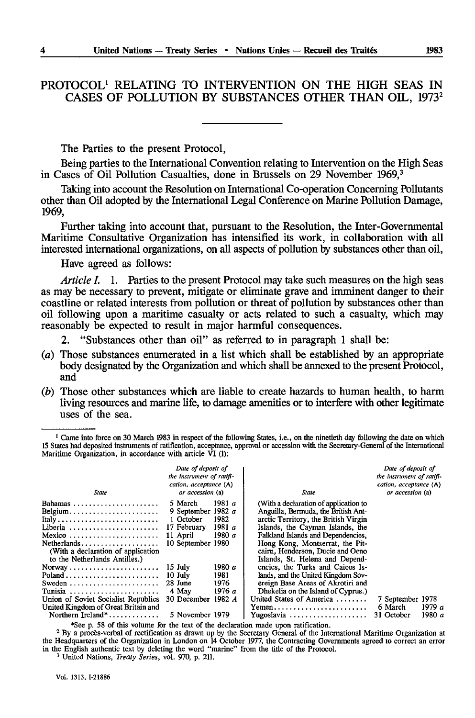# PROTOCOL1 RELATING TO INTERVENTION ON THE HIGH SEAS IN CASES OF POLLUTION BY SUBSTANCES OTHER THAN OIL, 1973<sup>2</sup>

The Parties to the present Protocol,

Being parties to the International Convention relating to Intervention on the High Seas in Cases of Oil Pollution Casualties, done in Brussels on 29 November 1969,<sup>3</sup>

Taking into account the Resolution on International Co-operation Concerning Pollutants other than Oil adopted by the International Legal Conference on Marine Pollution Damage, 1969,

Further taking into account that, pursuant to the Resolution, the Inter-Governmental Maritime Consultative Organization has intensified its work, in collaboration with all interested international organizations, on all aspects of pollution by substances other than oil,

Have agreed as follows:

*Article I.* 1. Parties to the present Protocol may take such measures on the high seas as may be necessary to prevent, mitigate or eliminate grave and imminent danger to their coastline or related interests from pollution or threat of pollution by substances other than oil following upon a maritime casualty or acts related to such a casualty, which may reasonably be expected to result in major harmful consequences.

"Substances other than oil" as referred to in paragraph 1 shall be:

- (a) Those substances enumerated in a list which shall be established by an appropriate body designated by the Organization and which shall be annexed to the present Protocol, and
- *(b)* Those other substances which are liable to create hazards to human health, to harm living resources and marine life, to damage amenities or to interfere with other legitimate uses of the sea.

<sup>1</sup> Came into force on 30 March 1983 in respect of the following States, i.e., on the ninetieth day following the date on which 15 States had deposited instruments of ratification, acceptance, approval or accession with the Secretary-General of the International Maritime Organization, in accordance with article VI (1):

| State                                                                                                                                                                             | Date of deposit of<br>the instrument of ratifi-<br>cation, acceptance (A)<br>or accession (a) |                                       | State                                                                                                                                                                                                                                                                                                    | Date of deposit of<br>the instrument of ratifi-<br>cation, acceptance (A)<br>or accession (a) |                  |  |
|-----------------------------------------------------------------------------------------------------------------------------------------------------------------------------------|-----------------------------------------------------------------------------------------------|---------------------------------------|----------------------------------------------------------------------------------------------------------------------------------------------------------------------------------------------------------------------------------------------------------------------------------------------------------|-----------------------------------------------------------------------------------------------|------------------|--|
| Bahamas<br>Belgium<br>Italy<br>Liberia<br>Mexico<br>Netherlands<br>(With a declaration of application<br>to the Netherlands Antilles.)                                            | 5 March<br>9 September 1982 a<br>1 October<br>17 February<br>11 April<br>10 September 1980    | 1981 $a$<br>1982<br>1981 $a$<br>1980a | (With a declaration of application to<br>Anguilla, Bermuda, the British Ant-<br>arctic Territory, the British Virgin<br>Islands, the Cayman Islands, the<br>Falkland Islands and Dependencies.<br>Hong Kong, Montserrat, the Pit-<br>cairn, Henderson, Ducie and Oeno<br>Islands, St. Helena and Depend- |                                                                                               |                  |  |
| $Poland \ldots \ldots \ldots \ldots \ldots \ldots \ldots$<br>Sweden<br>Tunisia<br>Union of Soviet Socialist Republics<br>United Kingdom of Great Britain and<br>Northern Ireland* | $15$ July<br>10 July<br>28 June<br>4 May<br>30 December 1982 A<br>5 November 1979             | 1980 $a$<br>1981<br>1976<br>1976 a    | encies, the Turks and Caicos Is-<br>lands, and the United Kingdom Sov-<br>ereign Base Areas of Akrotiri and<br>Dhekelia on the Island of Cyprus.)<br>United States of America<br>$Y$ emen<br>Yugoslavia                                                                                                  | 7 September 1978<br>6 March<br>31 October                                                     | 1979 a<br>1980 a |  |

\*See p. 58 of this volume for the text of the declaration made upon ratification.

<sup>2</sup> By a proces-verbal of rectification as drawn up by the Secretary General of the International Maritime Organization at the Headquarters of the Organization in London on 14 October 1977, the Contracting Governments agr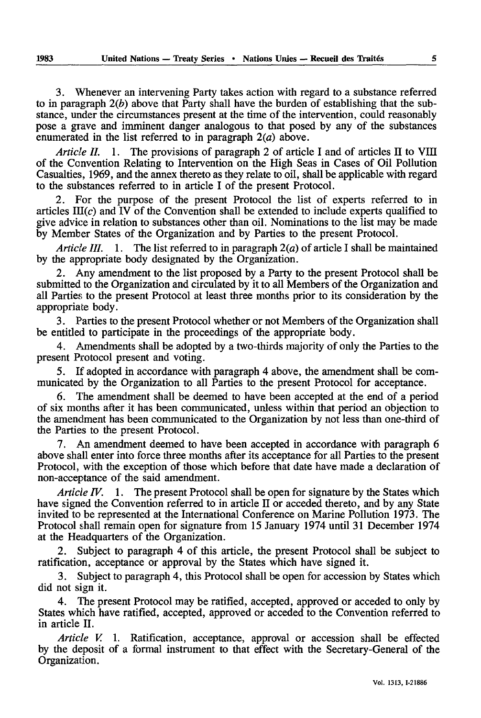3. Whenever an intervening Party takes action with regard to a substance referred to in paragraph *2(b)* above that Party shall have the burden of establishing that the sub stance, under the circumstances present at the time of the intervention, could reasonably pose a grave and imminent danger analogous to that posed by any of the substances enumerated in the list referred to in paragraph  $2(a)$  above.

*Article II.* 1. The provisions of paragraph 2 of article I and of articles II to VIII of the Convention Relating to Intervention on the High Seas in Cases of Oil Pollution Casualties, 1969, and the annex thereto as they relate to oil, shall be applicable with regard to the substances referred to in article I of the present Protocol.

2. For the purpose of the present Protocol the list of experts referred to in articles  $III(c)$  and IV of the Convention shall be extended to include experts qualified to give advice in relation to substances other than oil. Nominations to the list may be made by Member States of the Organization and by Parties to the present Protocol.

*Article III. I.* The list referred to in paragraph *2(a)* of article I shall be maintained by the appropriate body designated by the Organization.

2. Any amendment to the list proposed by a Party to the present Protocol shall be submitted to the Organization and circulated by it to all Members of the Organization and all Parties to the present Protocol at least three months prior to its consideration by the appropriate body.

3. Parties to the present Protocol whether or not Members of the Organization shall be entitled to participate in the proceedings of the appropriate body.

4. Amendments shall be adopted by a two-thirds majority of only the Parties to the present Protocol present and voting.

5. If adopted in accordance with paragraph 4 above, the amendment shall be com municated by the Organization to all Parties to the present Protocol for acceptance.

The amendment shall be deemed to have been accepted at the end of a period of six months after it has been communicated, unless within that period an objection to the amendment has been communicated to the Organization by not less than one-third of the Parties to the present Protocol.

7. An amendment deemed to have been accepted in accordance with paragraph 6 above shall enter into force three months after its acceptance for all Parties to the present Protocol, with the exception of those which before that date have made a declaration of non-acceptance of the said amendment.

*Article IV.* 1. The present Protocol shall be open for signature by the States which have signed the Convention referred to in article II or acceded thereto, and by any State invited to be represented at the International Conference on Marine Pollution 1973. The Protocol shall remain open for signature from 15 January 1974 until 31 December 1974 at the Headquarters of the Organization.

Subject to paragraph 4 of this article, the present Protocol shall be subject to ratification, acceptance or approval by the States which have signed it.

3. Subject to paragraph 4, this Protocol shall be open for accession by States which did not sign it.

4. The present Protocol may be ratified, accepted, approved or acceded to only by States which have ratified, accepted, approved or acceded to the Convention referred to in article II.

*Article V.* 1. Ratification, acceptance, approval or accession shall be effected by the deposit of a formal instrument to that effect with the Secretary-General of the Organization.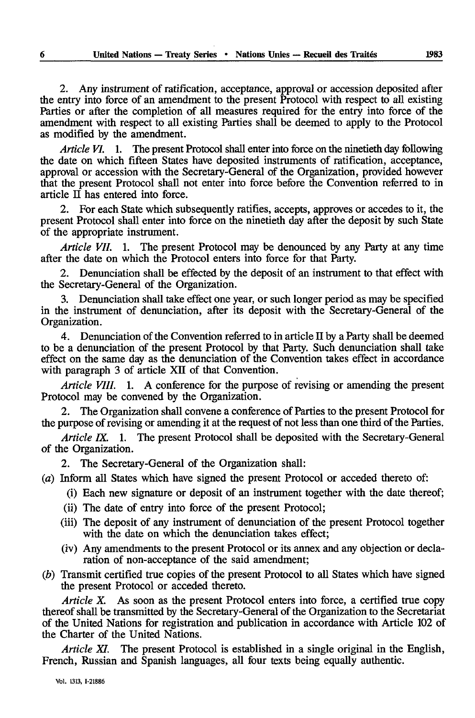2. Any instrument of ratification, acceptance, approval or accession deposited after the entry into force of an amendment to the present Protocol with respect to all existing Parties or after the completion of all measures required for the entry into force of the amendment with respect to all existing Parties shall be deemed to apply to the Protocol as modified by the amendment.

*Article VI.* 1. The present Protocol shall enter into force on the ninetieth day following the date on which fifteen States have deposited instruments of ratification, acceptance, approval or accession with the Secretary-General of the Organization, provided however that the present Protocol shall not enter into force before the Convention referred to in article II has entered into force.

2. For each State which subsequently ratifies, accepts, approves or accedes to it, the present Protocol shall enter into force on the ninetieth day after the deposit by such State of the appropriate instrument.

*Article VII.* 1. The present Protocol may be denounced by any Party at any time after the date on which the Protocol enters into force for that Party.

2. Denunciation shall be effected by the deposit of an instrument to that effect with the Secretary-General of the Organization.

3. Denunciation shall take effect one year, or such longer period as may be specified in the instrument of denunciation, after its deposit with the Secretary-General of the Organization.

4. Denunciation of the Convention referred to in article II by a Party shall be deemed to be a denunciation of the present Protocol by that Party. Such denunciation shall take effect on the same day as the denunciation of the Convention takes effect in accordance with paragraph 3 of article XII of that Convention.

*Article VIII.* 1. A conference for the purpose of revising or amending the present Protocol may be convened by the Organization.

2. The Organization shall convene a conference of Parties to the present Protocol for the purpose of revising or amending it at the request of not less than one third of the Parties.

*Article IX.* 1. The present Protocol shall be deposited with the Secretary-General of the Organization.

2. The Secretary-General of the Organization shall:

*(a)* Inform all States which have signed the present Protocol or acceded thereto of:

- (i) Each new signature or deposit of an instrument together with the date thereof;
- (ii) The date of entry into force of the present Protocol;
- (iii) The deposit of any instrument of denunciation of the present Protocol together with the date on which the denunciation takes effect;
- (iv) Any amendments to the present Protocol or its annex and any objection or decla ration of non-acceptance of the said amendment;
- *(b)* Transmit certified true copies of the present Protocol to all States which have signed the present Protocol or acceded thereto.

*Article X.* As soon as the present Protocol enters into force, a certified true copy thereof shall be transmitted by the Secretary-General of the Organization to the Secretariat of the United Nations for registration and publication in accordance with Article 102 of the Charter of the United Nations.

*Article XI.* The present Protocol is established in a single original in the English, French, Russian and Spanish languages, all four texts being equally authentic.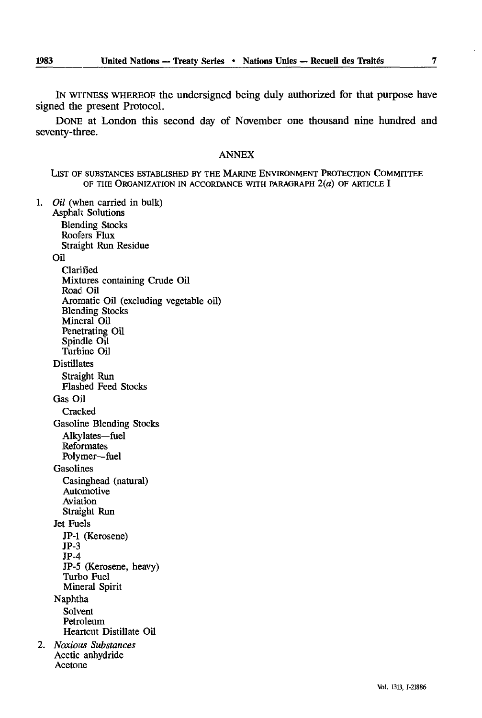IN WITNESS WHEREOF the undersigned being duly authorized for that purpose have signed the present Protocol.

DONE at London this second day of November one thousand nine hundred and seventy-three.

#### ANNEX

LIST OF SUBSTANCES ESTABLISHED BY THE MARINE ENVIRONMENT PROTECTION COMMITTEE OF THE ORGANIZATION IN ACCORDANCE WITH PARAGRAPH  $2(a)$  OF ARTICLE I

1. *Oil* (when carried in bulk) Asphalt Solutions

Blending Stocks Roofers Flux Straight Run Residue Oil Clarified Mixtures containing Crude Oil Road Oil Aromatic Oil (excluding vegetable oil) Blending Stocks Mineral Oil Penetrating Oil Spindle Oil Turbine Oil Distillates Straight Run Flashed Feed Stocks Gas Oil **Cracked** Gasoline Blending Stocks Alkylates-fuel Reformates Polymer-fuel Gasolines Casinghead (natural) Automotive Aviation Straight Run Jet Fuels JP-1 (Kerosene) JP-3 JP-4 JP-5 (Kerosene, heavy) Turbo Fuel Mineral Spirit Naphtha Solvent Petroleum Heartcut Distillate Oil 2. *Noxious Substances*  Acetic anhydride Acetone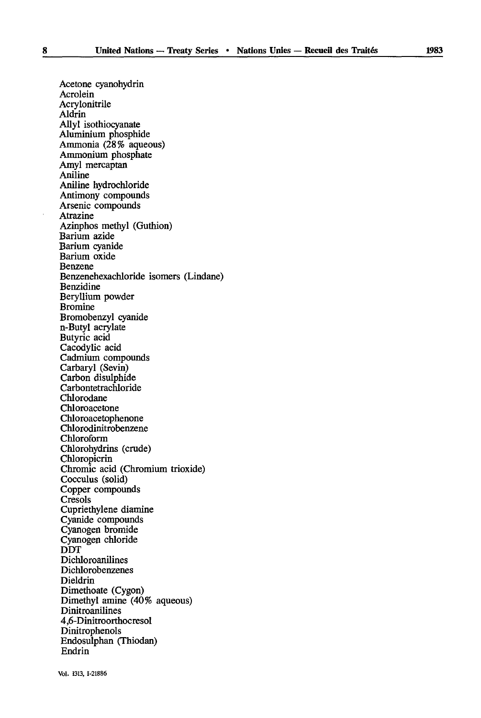Acrolein Acrylonitrile Aldrin Allyl isothiocyanate Aluminium phosphide Ammonia (28% aqueous) Ammonium phosphate Amyl mercaptan Aniline Aniline hydrochloride Antimony compounds Arsenic compounds Atrazine Azinphos methyl (Guthion) Barium azide Barium cyanide Barium oxide Benzene Benzenehexachloride isomers (Lindane) Benzidine Beryllium powder Bromine Bromobenzyl cyanide n-Butyl acrylate Butyric acid Cacodylic acid Cadmium compounds Carbaryl (Sevin) Carbon disulphide Carbontetrachloride Chlorodane Chloroacetone Chloroacetophenone Chlorodinitrobenzene Chloroform Chlorohydrins (crude) Chloropicrin Chromic acid (Chromium trioxide) Cocculus (solid) Copper compounds Cresols Cupriethylene diamine Cyanide compounds Cyanogen bromide Cyanogen chloride DOT Dichloroanilines Dichlorobenzenes Dieldrin Dimethoate (Cygon) Dimethyl amine (40% aqueous) Dinitroanilines 4,6-Dinitroorthocresol Dinitrophenols Endosulphan (Thiodan) Endrin

Acetone cyanohydrin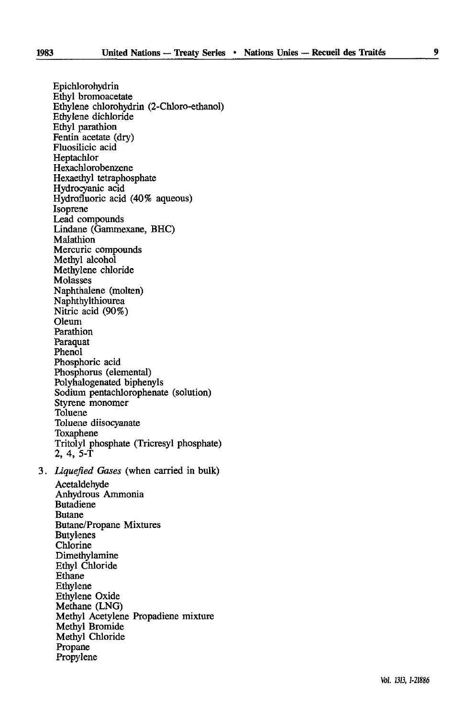Epichlorohydrin Ethyl bromoacetate Ethylene chlorohydrin (2-Chloro-ethanol) Ethylene dichloride Ethyl parathion Fentin acetate (dry) Fluosilicic acid Heptachlor Hexachlorobenzene Hexaethyl tetraphosphate Hydrocyanic acid Hydrofluoric acid (40% aqueous) Isoprene Lead compounds Lindane (Gammexane, BHC) **Malathion** Mercuric compounds Methyl alcohol Methylene chloride Molasses Naphthalene (molten) Naphthylthiourea Nitric acid (90%) Oleum Parathion Paraquat Phenol Phosphoric acid Phosphorus (elemental) Polyhalogenated biphenyls Sodium pentachlorophenate (solution) Styrene monomer Toluene Toluene diisocyanate Toxaphene Tritolyl phosphate (Tricresyl phosphate) 2, 4, 5-T 3. *Liquefied Gases* (when carried in bulk) Acetaldehyde Anhydrous Ammonia Butadiene Butane Butane/Propane Mixtures **Butylenes** Chlorine Dimethylamine Ethyl Chloride Ethane Ethylene Ethylene Oxide Methane (LNG) Methyl Acetylene Propadiene mixture Methyl Bromide Methyl Chloride Propane Propylene

Vol. 1313,1-21886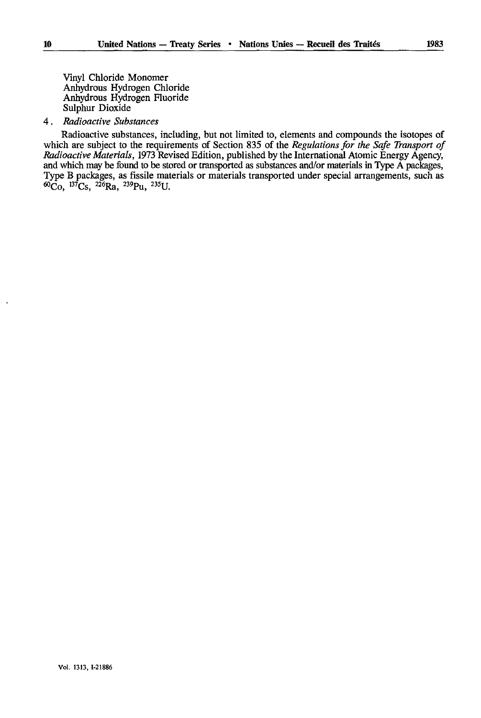Vinyl Chloride Monomer Anhydrous Hydrogen Chloride Anhydrous Hydrogen Fluoride Sulphur Dioxide

#### 4. *Radioactive Substances*

Radioactive substances, including, but not limited to, elements and compounds the isotopes of which are subject to the requirements of Section 835 of the *Regulations for the Safe Transport of Radioactive Materials,* 1973 Revised Edition, published by the International Atomic Energy Agency, and which may be found to be stored or transported as substances and/or materials in Type A packages, Type B packages, as fissile materials or materials transported under special arrangements, such as  ${}^{60}Co$ ,  ${}^{137}Cs$ ,  ${}^{226}Ra$ ,  ${}^{239}Pu$ ,  ${}^{235}U$ .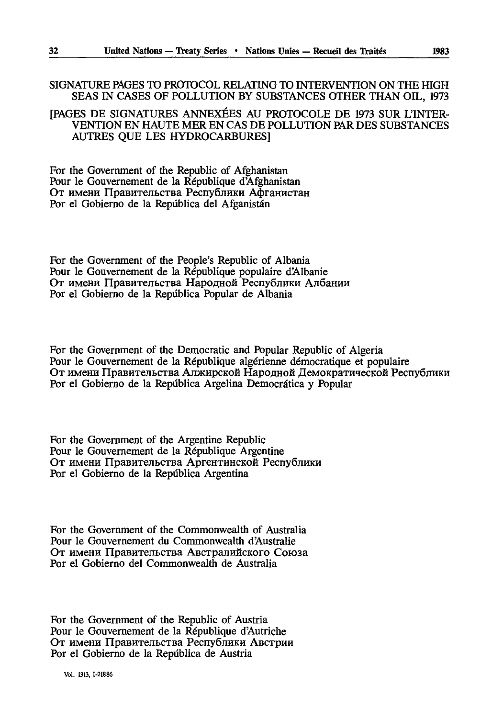## SIGNATURE PAGES TO PROTOCOL RELATING TO INTERVENTION ON THE HIGH SEAS IN CASES OF POLLUTION BY SUBSTANCES OTHER THAN OIL, 1973

## [PAGES DE SIGNATURES ANNEXÉES AU PROTOCOLE DE 1973 SUR L'INTER VENTION EN HAUTE MER EN CAS DE POLLUTION PAR DES SUBSTANCES AUTRES QUE LES HYDROCARBURES]

For thé Government of the Republic of Afghanistan Pour le Gouvernement de la République d'Afghanistan От имени Правительства Республики Афганистан Por el Gobierno de la Repûblica del Afganistân

For thé Government of the People's Republic of Albania Pour le Gouvernement de la République populaire d'Albanie От имени Правительства Народной Республики Албании Por el Gobierno de la Repûblica Popular de Albania

For thé Government of the Democratic and Popular Republic of Algeria Pour le Gouvernement de la République algérienne démocratique et populaire От имени Правительства Алжирской Народной Демократической Республики Por el Gobierno de la Repûblica Argelina Democrâtica y Popular

For thé Government of the Argentine Republic Pour le Gouvernement de la République Argentine От имени Правительства Аргентинской Республики Por el Gobierno de la Repûblica Argentina

For thé Government of the Commonwealth of Australia Pour le Gouvernement du Commonwealth d'Australie От имени Правительства Австралийского Союза Por el Gobierno del Commonwealth de Australia

For the Government of the Republic of Austria Pour le Gouvernement de la République d'Autriche От имени Правительства Республики Австрии Por el Gobierno de la Repûblica de Austria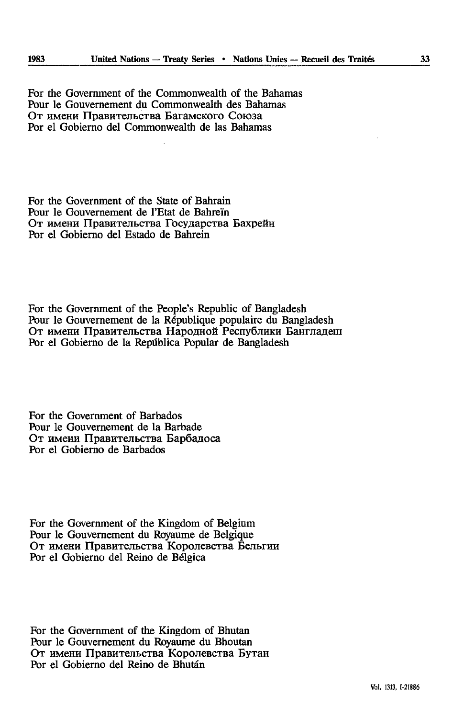For thé Government of the Commonwealth of the Bahamas Pour le Gouvernement du Commonwealth des Bahamas От имени Правительства Багамского Союза Por el Gobierno del Commonwealth de las Bahamas

For the Government of the State of Bahrain Pour le Gouvernement de l'Etat de Bahrein От имени Правительства Государства Бахрейн Por el Gobierno del Estado de Bahrein

For thé Government of the People's Republic of Bangladesh Pour le Gouvernement de la République populaire du Bangladesh От имени Правительства Народной Республики Бангладеш Por el Gobierno de la Repûblica Popular de Bangladesh

For thé Government of Barbados Pour le Gouvernement de la Barbade От имени Правительства Барбадоса Por el Gobierno de Barbados

For thé Government of the Kingdom of Belgium Pour le Gouvernement du Royaume de Belgique **OT** HMCHH **ripaBHTejIbCTBa KopOJICBCTBa BeJIbFHH** Por el Gobierno del Reino de Bélgica

For thé Government of the Kingdom of Bhutan Pour le Gouvernement du Royaume du Bhoutan От имени Правительства Королевства Бутан Por el Gobierno del Reino de Bhutan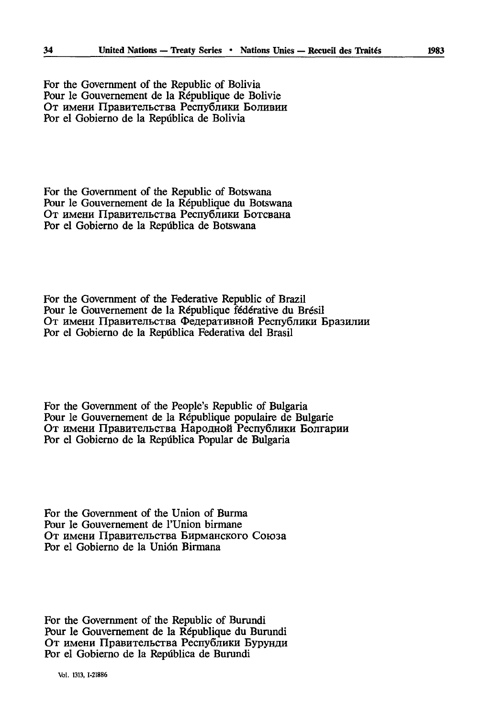For thé Government of the Republic of Bolivia Pour le Gouvernement de la République de Bolivie От имени Правительства Республики Боливии Por el Gobierno de la Repûblica de Bolivia

For thé Government of the Republic of Botswana Pour le Gouvernement de la République du Botswana От имени Правительства Республики Ботсвана Por el Gobierno de la Repûblica de Botswana

For thé Government of the Federative Republic of Brazil Pour le Gouvernement de la République fédérative du Brésil От имени Правительства Федеративной Республики Бразилии Por el Gobierno de la Repûblica Federativa del Brasil

For thé Government of the People's Republic of Bulgaria Pour le Gouvernement de la République populaire de Bulgarie От имени Правительства Народной Республики Болгарии Por el Gobierno de la República Popular de Bulgaria

For thé Government of the Union of Burma Pour le Gouvernement de l'Union birmane От имени Правительства Бирманского Союза Por el Gobierno de la Unión Birmana

For thé Government of the Republic of Burundi Pour le Gouvernement de la République du Burundi От имени Правительства Республики Бурунди Por el Gobierno de la Repûblica de Burundi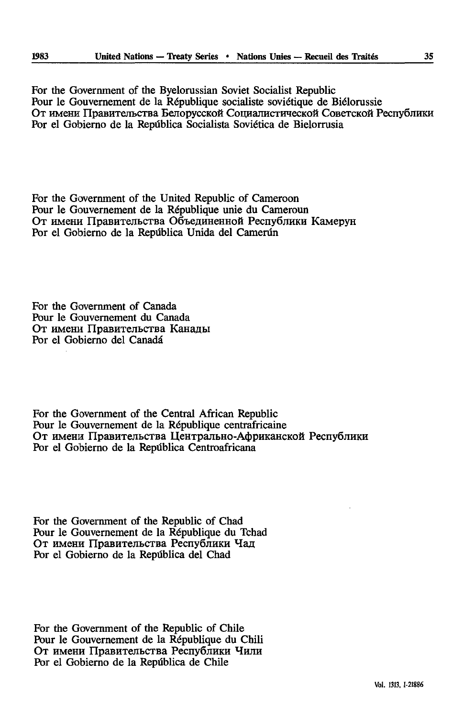For thé Government of the Byelorussian Soviet Socialist Republic Pour le Gouvernement de la République socialiste soviétique de Biélorussie От имени Правительства Белорусской Социалистической Советской Республики Por el Gobierno de la República Socialista Soviética de Bielorrusia

For thé Government of the United Republic of Cameroon Pour le Gouvernement de la République unie du Cameroun От имени Правительства Объединенной Республики Камерун Por el Gobierno de la República Unida del Camerún

For thé Government of Canada Pour le Gouvernement du Canada От имени Правительства Канады Por el Gobierno del Canada

For thé Government of the Central African Republic Pour le Gouvernement de la République centrafricaine От имени Правительства Центрально-Африканской Республики Por el Gobierno de la Repiîblica Centroafricana

For thé Government of the Republic of Chad Pour le Gouvernement de la République du Tchad От имени Правительства Республики Чад Por el Gobierno de la Repûblica del Chad

For the Government of the Republic of Chile Pour le Gouvernement de la République du Chili От имени Правительства Республики Чили Por el Gobierno de la Repûblica de Chile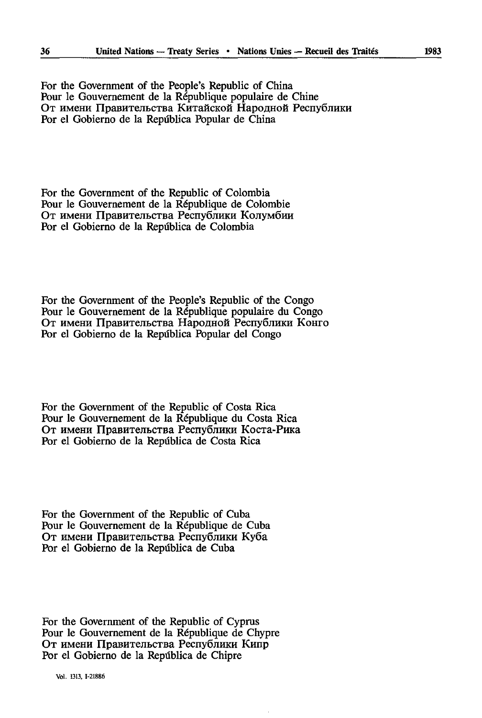For thé Government of the People's Republic of China Pour le Gouvernement de la République populaire de Chine От имени Правительства Китайской Народной Республики Por el Gobierno de la República Popular de China

For thé Government of the Republic of Colombia Pour le Gouvernement de la République de Colombie От имени Правительства Республики Колумбии Por el Gobierno de la Repûblica de Colombia

For thé Government of the People's Republic of the Congo Pour le Gouvernement de la République populaire du Congo От имени Правительства Народной Республики Конго Por el Gobierno de la Repûblica Popular del Congo

For thé Government of the Republic of Costa Rica Pour le Gouvernement de la République du Costa Rica От имени Правительства Республики Коста-Рика Por el Gobierno de la Repûblica de Costa Rica

For thé Government of the Republic of Cuba Pour le Gouvernement de la République de Cuba От имени Правительства Республики Куба Por el Gobierno de la Repûblica de Cuba

For thé Government of the Republic of Cyprus Pour le Gouvernement de la République de Chypre От имени Правительства Республики Кипр Por el Gobierno de la República de Chipre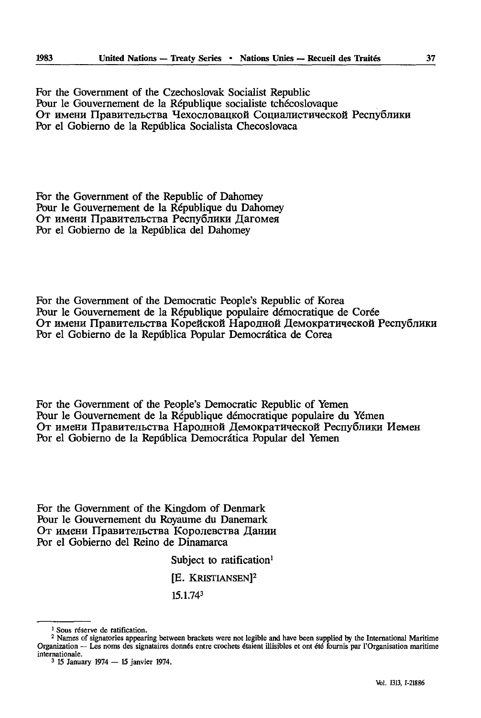For thé Government of the Czechoslovak Socialist Republic Pour le Gouvernement de la République socialiste tchécoslovaque От имени Правительства Чехословацкой Социалистической Республики Por el Gobierno de la República Socialista Checoslovaca

For thé Government of the Republic of Dahomey Pour le Gouvernement de la République du Dahomey От имени Правительства Республики Дагомея Por el Gobierno de la Repûblica del Dahomey

For thé Government of the Democratic People's Republic of Korea Pour le Gouvernement de la République populaire démocratique de Corée От имени Правительства Корейской Народной Демократической Республики Por el Gobierno de la Repûblica Popular Democràtica de Corea

For thé Government of the People's Democratic Republic of Yemen Pour le Gouvernement de la République démocratique populaire du Yemen От имени Правительства Народной Демократической Республики Иемен Por el Gobierno de la Repûblica Democràtica Popular del Yemen

For the Government of the Kingdom of Denmark Pour le Gouvernement du Royaume du Danemark От имени Правительства Королевства Дании Por el Gobierno del Reino de Dinamarca

Subject to ratification<sup>1</sup>

[E. KRISTIANSEN]<sup>2</sup>

15.1.743

<sup>1</sup> Sous réserve de ratification.

<sup>2</sup> Names of signatories appearing between brackets were not legible and have been supplied by the International Maritime Organization — Les noms des signataires donnés entre crochets étaient illisibles et ont été fournis par l'Organisation maritime internationale.

<sup>3 15</sup> January 1974 — 15 janvier 1974.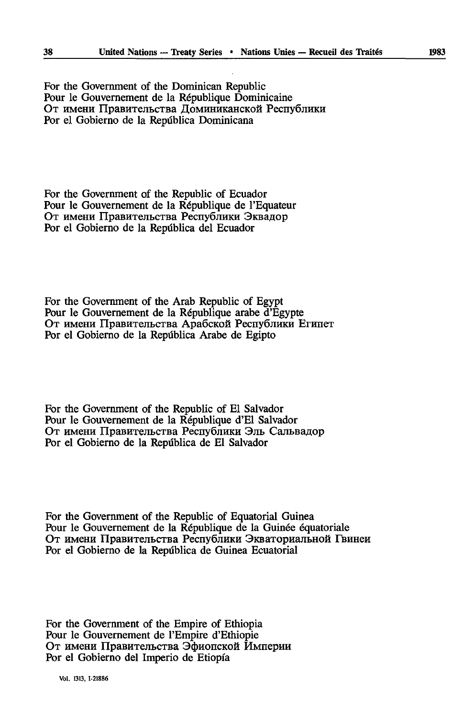For thé Government of the Dominican Republic Pour le Gouvernement de la République Dominicaine От имени Правительства Доминиканской Республики Por el Gobierno de la Repûblica Dominicana

For thé Government of the Republic of Ecuador Pour le Gouvernement de la République de l'Equateur От имени Правительства Республики Эквадор Por el Gobierno de la Repûblica del Ecuador

For thé Government of the Arab Republic of Egypt Pour le Gouvernement de la République arabe d'Egypte От имени Правительства Арабской Республики Египет Por el Gobierno de la Repûblica Arabe de Egipto

For thé Government of the Republic of El Salvador Pour le Gouvernement de la République d'El Salvador От имени Правительства Республики Эль Сальвадор Por el Gobierno de la Repûblica de El Salvador

For thé Government of the Republic of Equatorial Guinea Pour le Gouvernement de la République de la Guinée équatoriale От имени Правительства Республики Экваториальной Гвинеи Por el Gobierno de la Repûblica de Guinea Ecuatorial

For thé Government of the Empire of Ethiopia Pour le Gouvernement de l'Empire d'Ethiopie От имени Правительства Эфиопской Империи Por el Gobierno del Imperio de Etiopfa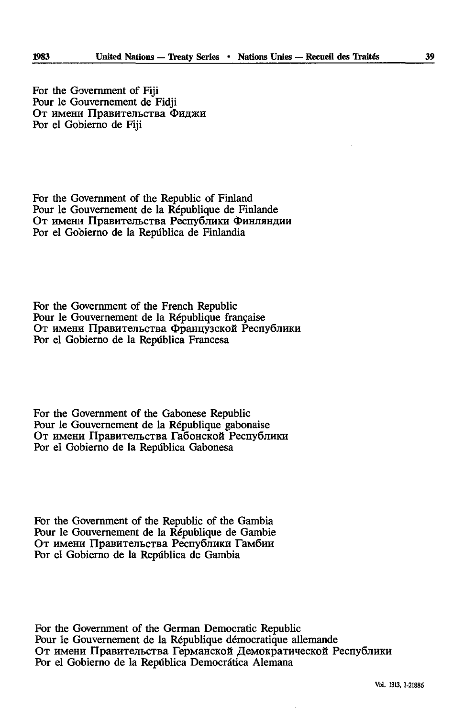For thé Government of Fiji Pour le Gouvernement de Fidji От имени Правительства Фиджи Por el Gobierno de Fiji

For thé Government of the Republic of Finland Pour le Gouvernement de la République de Finlande От имени Правительства Республики Финляндии Por el Gobierno de la Repûblica de Finlandia

For thé Government of the French Republic Pour le Gouvernement de la République française От имени Правительства Французской Республики Por el Gobierno de la Repûblica Francesa

For thé Government of the Gabonese Republic Pour le Gouvernement de la République gabonaise От имени Правительства Габонской Республики Por el Gobierno de la Repûblica Gabonesa

For thé Government of the Republic of the Gambia Pour le Gouvernement de la République de Gambie От имени Правительства Республики Гамбии Por el Gobierno de la Repûblica de Gambia

For thé Government of the German Democratic Republic Pour le Gouvernement de la République démocratique allemande От имени Правительства Германской Демократической Республики Por el Gobierno de la Repûblica Democrâtica Alemana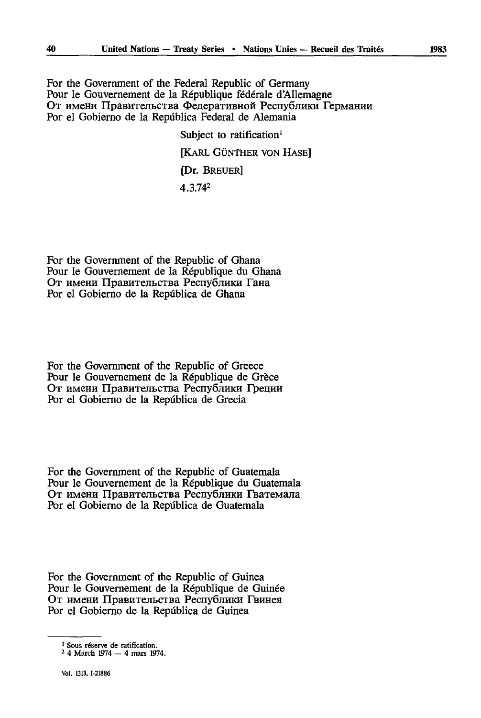For the Government of the Federal Republic of Germany Pour le Gouvernement de la République fédérale d'Allemagne От имени Правительства Федеративной Республики Германии Por el Gobierno de la Repûblica Federal de Alemania

Subject to ratification<sup>1</sup>

[KARL GÙNTHER VON HASE]

[Dr. BREUER]

4.3.742

For thé Government of the Republic of Ghana Pour le Gouvernement de la République du Ghana От имени Правительства Республики Гана Por el Gobierno de la República de Ghana

For thé Government of the Republic of Greece Pour le Gouvernement de la République de Grèce От имени Правительства Республики Греции Por el Gobierno de la República de Grecia

For thé Government of the Republic of Guatemala Pour le Gouvernement de la République du Guatemala От имени Правительства Республики Гватемала Por el Gobierno de la República de Guatemala

For thé Government of the Republic of Guinea Pour le Gouvernement de la République de Guinée От имени Правительства Республики Гвинея Por el Gobierno de la Repdblica de Guinea

<sup>1</sup> Sous réserve de ratification.

<sup>2 4</sup> March 1974 — 4 mars 1974.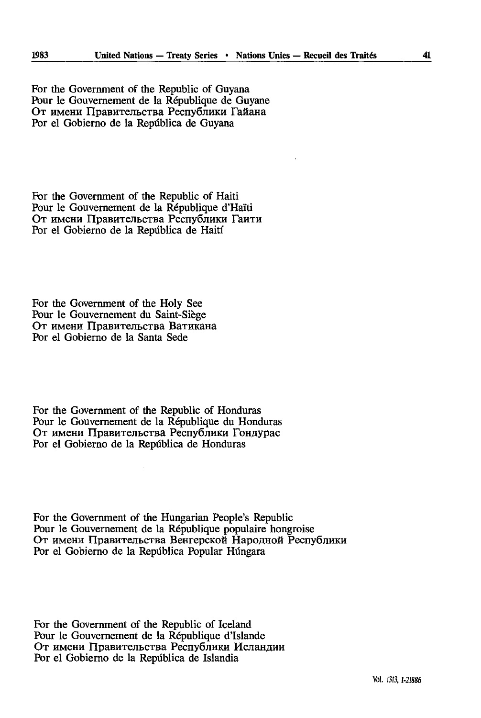For thé Government of the Republic of Guyana Pour le Gouvernement de la République de Guyane От имени Правительства Республики Гайана Por el Gobierno de la República de Guyana

For thé Government of the Republic of Haiti Pour le Gouvernement de la République d'Haïti От имени Правительства Республики Гаити Por el Gobierno de la Repûblica de Haiti

For thé Government of the Holy See Pour le Gouvernement du Saint-Siège От имени Правительства Ватикана Por el Gobierno de la Santa Sede

For thé Government of the Republic of Honduras Pour le Gouvernement de la République du Honduras От имени Правительства Республики Гондурас Por el Gobierno de la Repûblica de Honduras

For thé Government of the Hungarian People's Republic Pour le Gouvernement de la République populaire hongroise От имени Правительства Венгерской Народной Республики Por el Gobierno de la Repûblica Popular Hûngara

For thé Government of the Republic of Iceland Pour le Gouvernement de la République d'Islande От имени Правительства Республики Исландии Por el Gobierno de la Repûblica de Islandia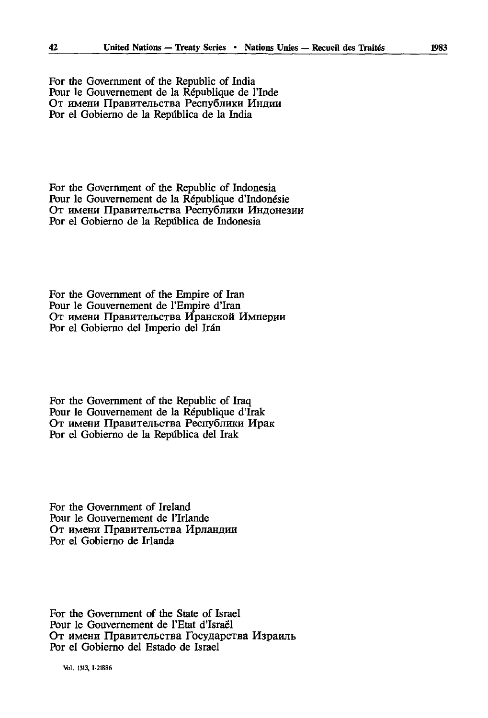For thé Government of the Republic of India Pour le Gouvernement de la République de l'Inde От имени Правительства Республики Индии Por el Gobierno de la Repiîblica de la India

For thé Government of the Republic of Indonesia Pour le Gouvernement de la République d'Indonésie От имени Правительства Республики Индонезии Por el Gobierno de la República de Indonesia

For thé Government of the Empire of Iran Pour le Gouvernement de l'Empire d'Iran От имени Правительства Иранской Империи Por el Gobierno del Imperio del Irán

For thé Government of the Republic of Iraq Pour le Gouvernement de la République d'Irak От имени Правительства Республики Ирак Por el Gobierno de la Repûblica del Irak

For thé Government of Ireland Pour le Gouvernement de l'Irlande От имени Правительства Ирландии Por el Gobierno de Irlanda

For thé Government of the State of Israel Pour le Gouvernement de l'Etat d'Israël От имени Правительства Государства Израиль Por el Gobierno del Estado de Israël

Vol. 1313, 1-21886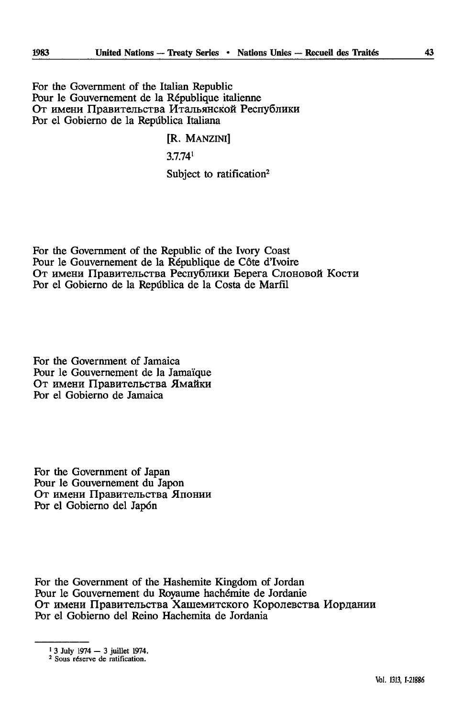For thé Government of the Italian Republic Pour le Gouvernement de la République italienne От имени Правительства Итальянской Республики Por el Gobierno de la Repûblica Italiana

#### [R. MANZINI]

3.7.741

Subject to ratification<sup>2</sup>

For thé Government of the Republic of the Ivory Coast Pour le Gouvernement de la République de Côte d'Ivoire От имени Правительства Республики Берега Слоновой Кости Por el Gobierno de la Repûblica de la Costa de Marfïl

For thé Government of Jamaica Pour le Gouvernement de la Jamaïque От имени Правительства Ямайки Por el Gobierno de Jamaica

For thé Government of Japan Pour le Gouvernement du Japon От имени Правительства Японии Por el Gobierno del Japon

For thé Government of the Hashemite Kingdom of Jordan Pour le Gouvernement du Royaume hachémite de Jordanie От имени Правительства Хашемитского Королевства Иордании Por el Gobierno del Reino Hachemita de Jordania

 $1$  3 July 1974  $-$  3 juillet 1974.

<sup>2</sup> Sous réserve de ratification.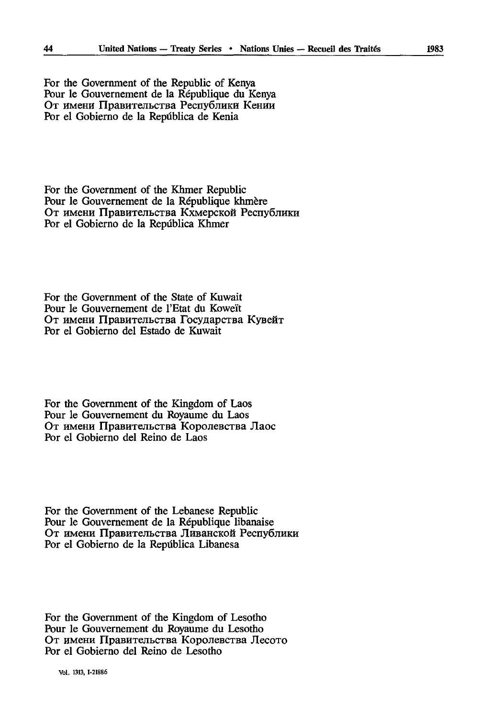For thé Government of the Republic of Kenya Pour le Gouvernement de la République du Kenya От имени Правительства Республики Кении Por el Gobierno de la Repûblica de Kenia

For thé Government of the Khmer Republic Pour le Gouvernement de la République khmère От имени Правительства Кхмерской Республики Por el Gobierno de la Repûblica Khmer

For thé Government of the State of Kuwait Pour le Gouvernement de l'Etat du Koweït От имени Правительства Государства Кувейт Por el Gobierno del Estado de Kuwait

For thé Government of the Kingdom of Laos Pour le Gouvernement du Royaume du Laos От имени Правительства Королевства Лаос Por el Gobierno del Reino de Laos

For thé Government of the Lebanese Republic Pour le Gouvernement de la République libanaise От имени Правительства Ливанской Республики Por el Gobierno de la Repûblica Libanesa

For thé Government of the Kingdom of Lesotho Pour le Gouvernement du Royaume du Lesotho От имени Правительства Королевства Лесото Por el Gobierno del Reino de Lesotho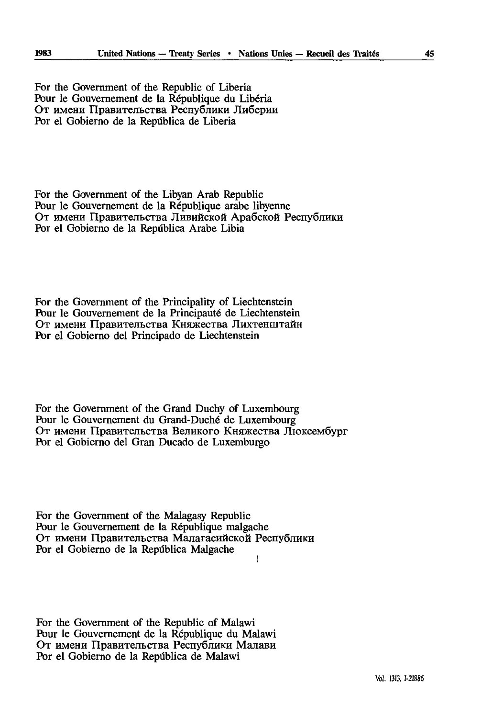For thé Government of the Republic of Liberia Pour le Gouvernement de la République du Libéria От имени Правительства Республики Либерии Por el Gobierno de la República de Liberia

For thé Government of the Libyan Arab Republic Pour le Gouvernement de la République arabe libyenne От имени Правительства Ливийской Арабской Республики Por el Gobierno de la Repûblica Arabe Libia

For the Government of the Principality of Liechtenstein Pour le Gouvernement de la Principauté de Liechtenstein От имени Правительства Княжества Лихтенштайн Por el Gobierno del Principado de Liechtenstein

For thé Government of the Grand Duchy of Luxembourg Pour le Gouvernement du Grand-Duché de Luxembourg От имени Правительства Великого Княжества Люксембург Por el Gobierno del Gran Ducado de Luxemburgo

For thé Government of the Malagasy Republic Pour le Gouvernement de la République malgache От имени Правительства Малагасийской Республики Por el Gobierno de la Repûblica Malgache ţ

For thé Government of the Republic of Malawi Pour le Gouvernement de la République du Malawi От имени Правительства Республики Малави Por el Gobierno de la Repûblica de Malawi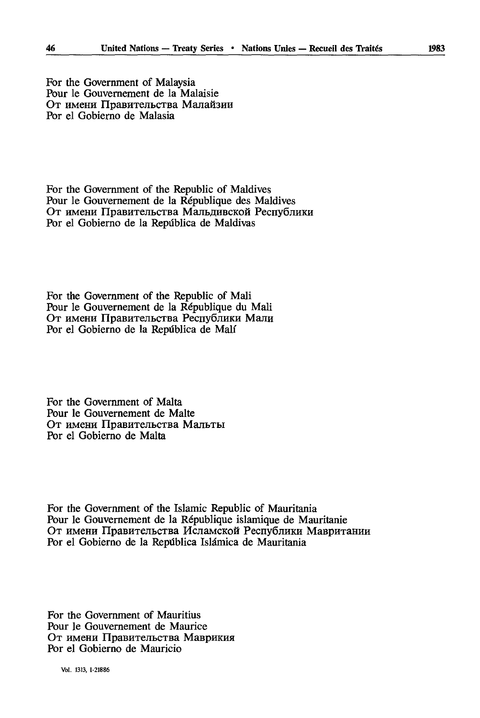For thé Government of Malaysia Pour le Gouvernement de la Malaisie **UT HMCHH IlpaBHTejIbCTBa MajiaH3HH** Por el Gobierno de Malasia

For thé Government of the Republic of Maldives Pour le Gouvernement de la République des Maldives От имени Правительства Мальдивской Республики Por el Gobierno de la República de Maldivas

For thé Government of the Republic of Mali Pour le Gouvernement de la République du Mali От имени Правительства Республики Мали Por el Gobierno de la Republica de Mali

For thé Government of Malta Pour le Gouvernement de Malte **OT HMCHH ripaBHTejIbCTBa MajïbTbl** Por el Gobierno de Malta

For thé Government of the Islamic Republic of Mauritania Pour le Gouvernement de la République islamique de Mauritanie От имени Правительства Исламской Республики Мавритании Por el Gobierno de la Republica Islâmica de Mauritania

For thé Government of Mauritius Pour le Gouvernement de Maurice **OT HMCHH HpaBHTeJIbCTBa MaBpHKHH** Por el Gobierno de Mauricio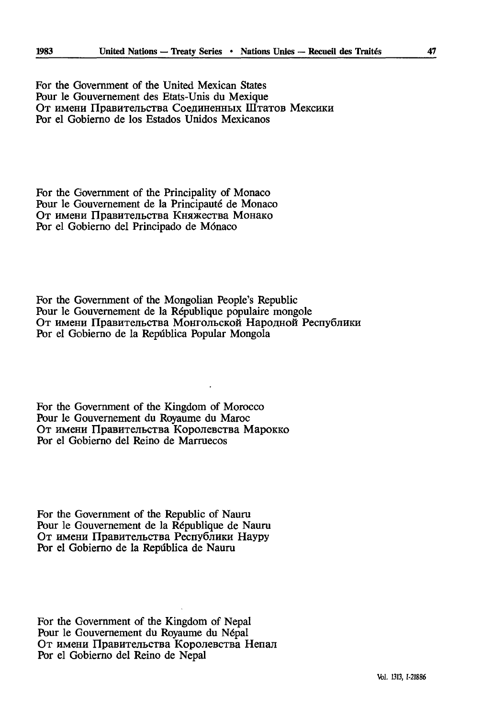For thé Government of the United Mexican States Pour le Gouvernement des Etats-Unis du Mexique От имени Правительства Соединенных Штатов Мексики Por el Gobierno de los Estados Unidos Mexicanos

For thé Government of the Principality of Monaco Pour le Gouvernement de la Principauté de Monaco От имени Правительства Княжества Монако Por el Gobierno del Principado de Monaco

For thé Government of the Mongolian People's Republic Pour le Gouvernement de la République populaire mongole От имени Правительства Монгольской Народной Республики Por el Gobierno de la Repûblica Popular Mongola

For thé Government of the Kingdom of Morocco Pour le Gouvernement du Royaume du Maroc От имени Правительства Королевства Марокко Por el Gobierno del Reino de Marruecos

For thé Government of the Republic of Nauru Pour le Gouvernement de la République de Nauru От имени Правительства Республики Науру Por el Gobierno de la Repûblica de Nauru

For thé Government of the Kingdom of Nepal Pour le Gouvernement du Royaume du Népal От имени Правительства Королевства Непал Por el Gobierno del Reino de Népal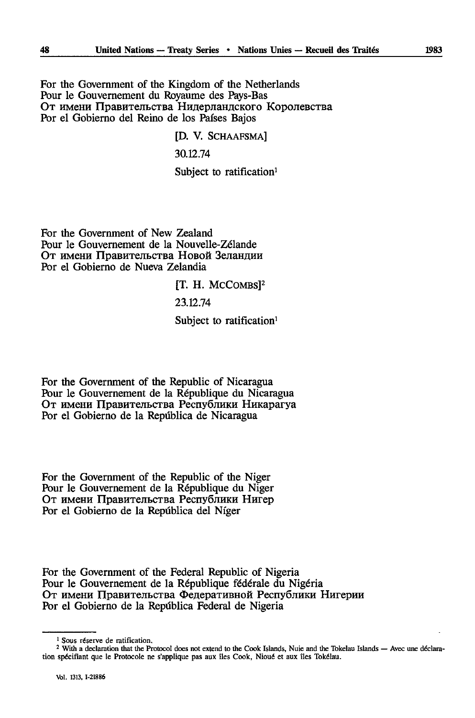For thé Government of the Kingdom of the Netherlands Pour le Gouvernement du Royaume des Pays-Bas От имени Правительства Нидерландского Королевства For el Gobierno del Reino de los Pafses Bajos

> [D. V. SCHAAFSMA] 30.12.74 Subject to ratification<sup>1</sup>

For thé Government of New Zealand Pour le Gouvernement de la Nouvelle-Zélande От имени Правительства Новой Зеландии Por el Gobierno de Nueva Zelandia

[T. H. MCCOMBS<sup>12</sup>

23.12.74

Subject to ratification<sup>1</sup>

For thé Government of the Republic of Nicaragua Pour le Gouvernement de la République du Nicaragua От имени Правительства Республики Никарагуа Por el Gobierno de la Repûblica de Nicaragua

For thé Government of the Republic of the Niger Pour le Gouvernement de la République du Niger От имени Правительства Республики Нигер Por el Gobierno de la Repdblica del Niger

For thé Government of the Federal Republic of Nigeria Pour le Gouvernement de la République fédérale du Nigéria От имени Правительства Федеративной Республики Нигерии Por el Gobierno de la Repûblica Federal de Nigeria

<sup>1</sup> Sous réserve de ratification.

<sup>&</sup>lt;sup>2</sup> With a declaration that the Protocol does not extend to the Cook Islands, Nuie and the Tokelau Islands — Avec une déclaration spécifiant que le Protocole ne s'applique pas aux îles Cook, Nioué et aux îles Tokélau.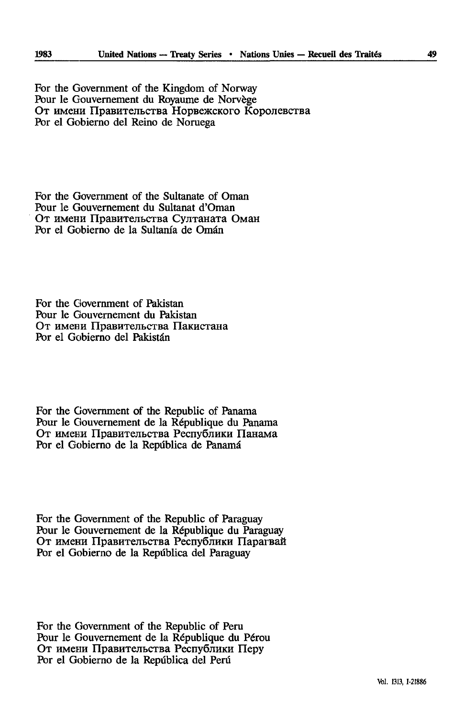For thé Government of the Kingdom of Norway Pour le Gouvernement du Royaume de Norvège От имени Правительства Норвежского Королевства Por el Gobierno del Reino de Noruega

For thé Government of the Sultanate of Oman Pour le Gouvernement du Sultanat d'Oman От имени Правительства Султаната Оман Por el Gobierno de la Sultanía de Omán

For thé Government of Pakistan Pour le Gouvernement du Pakistan От имени Правительства Пакистана Por el Gobierno del Pakistán

For thé Government of the Republic of Panama Pour le Gouvernement de la République du Panama От имени Правительства Республики Панама Por el Gobierno de la Republica de Panama

For thé Government of the Republic of Paraguay Pour le Gouvernement de la République du Paraguay От имени Правительства Республики Парагвай Por el Gobierno de la Republica del Paraguay

For thé Government of the Republic of Peru Pour le Gouvernement de la République du Pérou От имени Правительства Республики Перу Por el Gobierno de la Republica del Perd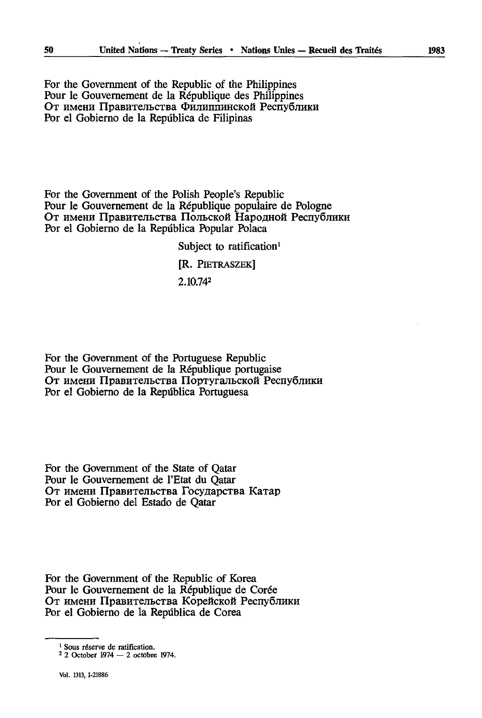For thé Government of the Republic of the Philippines Pour le Gouvernement de la République des Philippines От имени Правительства Филиппинской Республики Por el Gobierno de la Repûblica de Filipinas

For thé Government of the Polish People's Republic Pour le Gouvernement de la République populaire de Pologne От имени Правительства Польской Народной Республики Por el Gobierno de la Repûblica Popular Polaca

> Subject to ratification<sup>1</sup> [R. PlETRASZEK]

2.10.742

For thé Government of the Portuguese Republic Pour le Gouvernement de la République portugaise От имени Правительства Португальской Республики Por el Gobierno de la Repûblica Portuguesa

For thé Government of the State of Qatar Pour le Gouvernement de l'Etat du Qatar От имени Правительства Государства Катар Por el Gobierno del Estado de Qatar

For thé Government of the Republic of Korea Pour le Gouvernement de la République de Corée От имени Правительства Корейской Республики Por el Gobierno de la Repûblica de Corea

<sup>&</sup>lt;sup>1</sup> Sous réserve de ratification.

<sup>2 2</sup> October 1974 — 2 octobre 1974.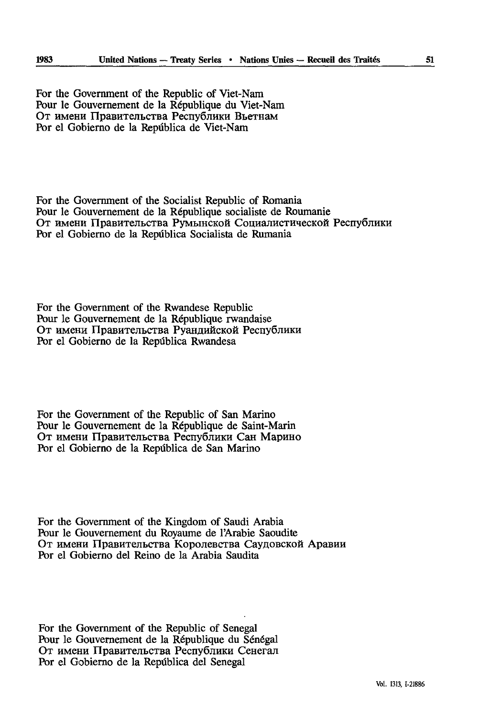For thé Government of the Republic of Viet-Nam Pour le Gouvernement de la République du Viet-Nam От имени Правительства Республики Вьетнам Por el Gobierno de la Repûblica de Viet-Nam

For thé Government of the Socialist Republic of Romania Pour le Gouvernement de la République socialiste de Roumanie От имени Правительства Румынской Социалистической Республики Por el Gobierno de la Repûblica Socialista de Rumania

For thé Government of the Rwandese Republic Pour le Gouvernement de la République rwandaise От имени Правительства Руандийской Республики Por el Gobierno de la Repûblica Rwandesa

For thé Government of the Republic of San Marino Pour le Gouvernement de la République de Saint-Marin От имени Правительства Республики Сан Марино Por el Gobierno de la Repûblica de San Marino

For thé Government of the Kingdom of Saudi Arabia Pour le Gouvernement du Royaume de l'Arabie Saoudite От имени Правительства Королевства Саудовской Аравии Por el Gobierno del Reino de la Arabia Saudita

For thé Government of the Republic of Senegal Pour le Gouvernement de la République du Sénégal От имени Правительства Республики Сенегал Por el Gobierno de la Repûblica del Senegal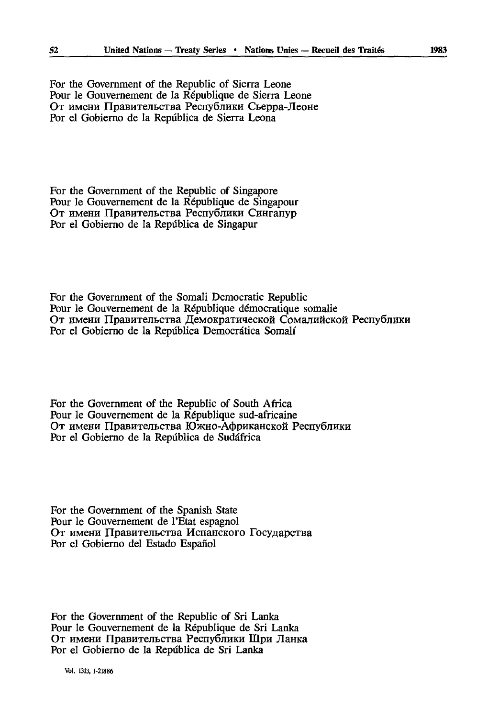For thé Government of the Republic of Sierra Leone Pour le Gouvernement de la République de Sierra Leone От имени Правительства Республики Сьерра-Леоне Por el Gobierno de la Repûblica de Sierra Leona

For thé Government of the Republic of Singapore Pour le Gouvernement de la République de Singapour От имени Правительства Республики Сингапур Por el Gobierno de la Repûblica de Singapur

For thé Government of the Somali Democratic Republic Pour le Gouvernement de la République démocratique somalie От имени Правительства Демократической Сомалийской Республики Por el Gobierno de la Repûblica Democrâtica Somali

For thé Government of the Republic of South Africa Pour le Gouvernement de la République sud-africaine От имени Правительства Южно-Африканской Республики Por el Gobierno de la Repûblica de Sudâfrica

For thé Government of the Spanish State Pour le Gouvernement de l'Etat espagnol От имени Правительства Испанского Государства Por el Gobierno del Estado Español

For thé Government of the Republic of Sri Lanka Pour le Gouvernement de la République de Sri Lanka От имени Правительства Республики Шри Ланка Por el Gobierno de la Repûblica de Sri Lanka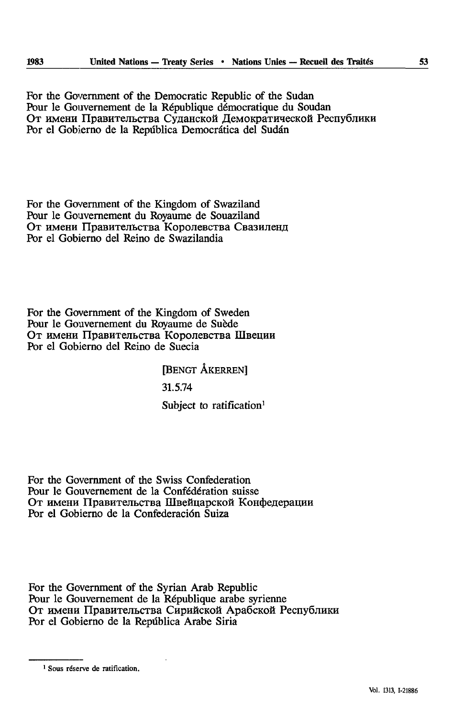For thé Government of the Democratic Republic of the Sudan Pour le Gouvernement de la République démocratique du Soudan От имени Правительства Суданской Демократической Республики Por el Gobierno de la Republica Democrâtica del Sudan

For the Government of the Kingdom of Swaziland Pour le Gouvernement du Royaume de Souaziland От имени Правительства Королевства Свазиленд Por el Gobierno del Reino de Swazilandia

For thé Government of the Kingdom of Sweden Pour le Gouvernement du Royaume de Suède От имени Правительства Королевства Швеции Por el Gobierno del Reino de Suecia

> [BENGT ÂKERREN] 31.5.74 Subject to ratification<sup>1</sup>

For thé Government of the Swiss Confederation Pour le Gouvernement de la Confédération suisse От имени Правительства Швейцарской Конфедерации Por el Gobierno de la Confederación Suiza

For thé Government of the Syrian Arab Republic Pour le Gouvernement de la République arabe syrienne От имени Правительства Сирийской Арабской Республики Por el Gobierno de la Republica Arabe Siria

<sup>1</sup> Sous réserve de ratification.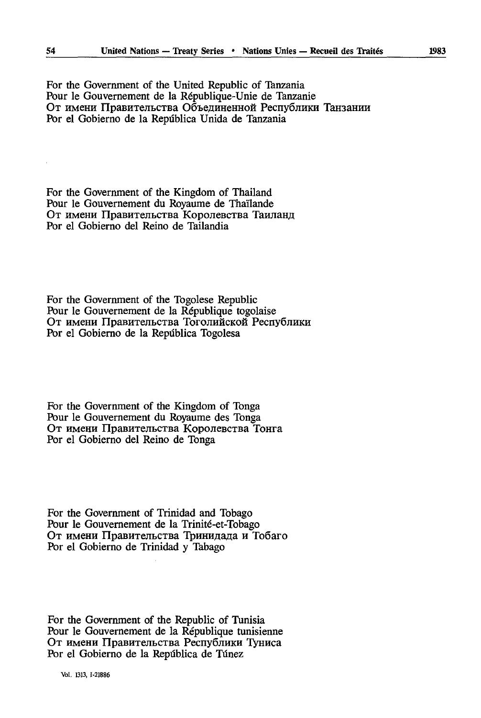Por el Gobierno de la República Unida de Tanzania

For thé Government of the Kingdom of Thailand Pour le Gouvernement du Royaume de Thaïlande От имени Правительства Королевства Таиланд Por el Gobierno del Reino de Tailandia

For thé Government of the Togolese Republic Pour le Gouvernement de la République togolaise От имени Правительства Тоголийской Республики Por el Gobierno de la Repûblica Togolesa

For thé Government of the Kingdom of Tonga Pour le Gouvernement du Royaume des Tonga От имени Правительства Королевства Тонга Por el Gobierno del Reino de Tonga

For thé Government of Trinidad and Tobago Pour le Gouvernement de la Trinité-et-Tobago От имени Правительства Тринидада и Тобаго Por el Gobierno de Trinidad y Tabago

For the Government of the Republic of Tunisia Pour le Gouvernement de la République tunisienne От имени Правительства Республики Туниса Por el Gobierno de la República de Túnez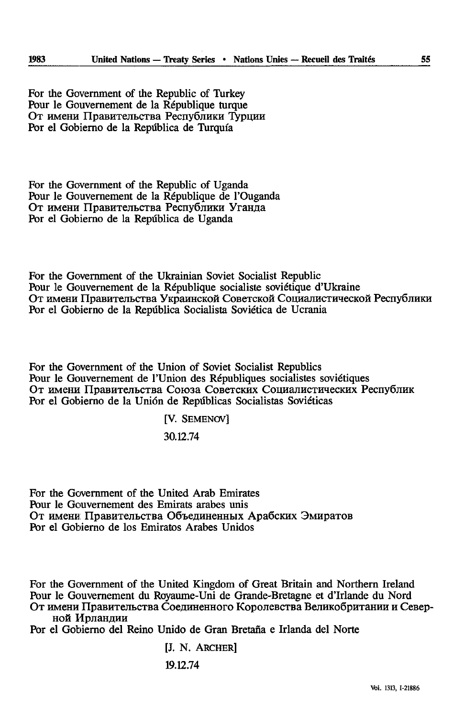For thé Government of the Republic of Turkey Pour le Gouvernement de la République turque От имени Правительства Республики Турции Por el Gobierno de la República de Turquía

For thé Government of the Republic of Uganda Pour le Gouvernement de la République de l'Ouganda От имени Правительства Республики Уганда Por el Gobierno de la Repdblica de Uganda

For thé Government of the Ukrainian Soviet Socialist Republic Pour le Gouvernement de la République socialiste soviétique d'Ukraine От имени Правительства Украинской Советской Социалистической Республики Por el Gobierno de la Repùblica Socialiste Soviética de Ucrania

For thé Government of the Union of Soviet Socialist Republics Pour le Gouvernement de l'Union des Républiques socialistes soviétiques От имени Правительства Союза Советских Социалистических Республик Por el Gobierno de la Unión de Repúblicas Socialistas Soviéticas

[V. SEMENOV]

30.12.74

For thé Government of the United Arab Emirates Pour le Gouvernement des Emirats arabes unis От имени Правительства Объединенных Арабских Эмиратов Por el Gobierno de los Emiratos Arabes Unidos

For thé Government of the United Kingdom of Great Britain and Northern Ireland Pour le Gouvernement du Royaume-Uni de Grande-Bretagne et d'Irlande du Nord От имени Правительства Соединенного Королевства Великобритании и Северной Ирландии

Por el Gobierno del Reino Unido de Gran Bretana e Irlanda del Norte

[J. N. ARCHER]

19.12.74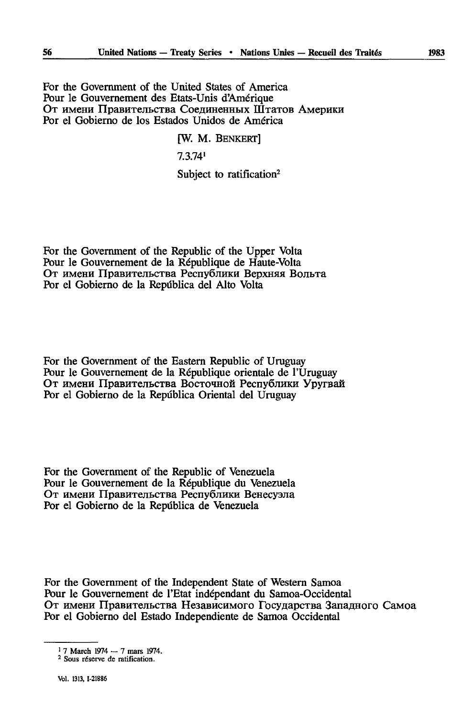For thé Government of the United States of America Pour le Gouvernement des Etats-Unis d'Amérique От имени Правительства Соединенных Штатов Америки Por el Gobierno de los Estados Unidos de America

#### [W. M. BENKERT]

7.3.74'

Subject to ratification<sup>2</sup>

For thé Government of the Republic of the Upper Volta Pour le Gouvernement de la République de Haute-Volta От имени Правительства Республики Верхняя Вольта Por el Gobierno de la Repûblica del Alto Volta

For thé Government of the Eastern Republic of Uruguay Pour le Gouvernement de la République orientale de l'Uruguay От имени Правительства Восточной Республики Уругвай Por el Gobierno de la Repûblica Oriental del Uruguay

For thé Government of the Republic of Venezuela Pour le Gouvernement de la République du Venezuela От имени Правительства Республики Венесуэла Por el Gobierno de la Repûblica de Venezuela

For thé Government of the Independent State of Western Samoa Pour le Gouvernement de l'Etat indépendant du Samoa-Occidental От имени Правительства Независимого Государства Западного Самоа Por el Gobierno del Estado Independiente de Samoa Occidental

<sup>1 7</sup> March 1974 — 7 mars 1974.

<sup>2</sup> Sous réserve de ratification.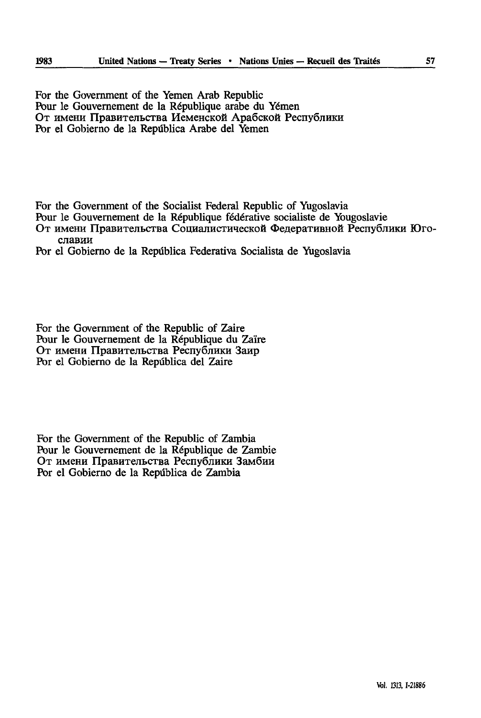For thé Government of the Yemen Arab Republic Pour le Gouvernement de la République arabe du Yémen От имени Правительства Иеменской Арабской Республики Por el Gobierno de la República Arabe del Yemen

For the Government of the Socialist Federal Republic of Yugoslavia

Pour le Gouvernement de la République federative socialiste de Yougoslavie

От имени Правительства Социалистической Федеративной Республики Юго-**CJiaBHH**

Por el Gobierno de la Repûblica Federativa Socialista de Yugoslavia

For thé Government of the Republic of Zaire Pour le Gouvernement de la République du Zaïre От имени Правительства Республики Заир Por el Gobierno de la Repûblica del Zaire

For the Government of the Republic of Zambia Pour le Gouvernement de la République de Zambie От имени Правительства Республики Замбии Por el Gobierno de la Repûblica de Zambia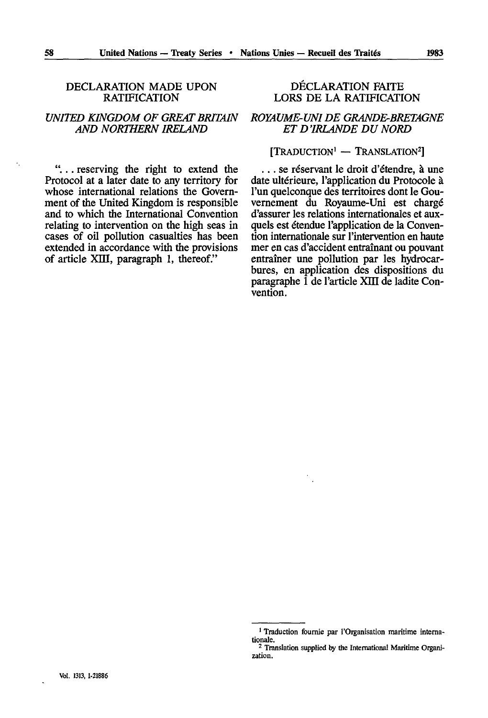## DECLARATION MADE UPON **RATIFICATION**

# *UNITED KINGDOM OF GREAT BRITAIN AND NORTHERN IRELAND*

*"...* reserving the right to extend the Protocol at a later date to any territory for whose international relations the Government of the United Kingdom is responsible and to which the International Convention relating to intervention on the high seas in cases of oil pollution casualties has been extended in accordance with the provisions of article XIII, paragraph 1, thereof."

# DECLARATION FAITE LORS DE LA RATIFICATION

## *ROYAUME-UNI DE GRANDE-BRETAGNE ET D'IRLANDE DU NORD*

# $[T$ RADUCTION<sup>1</sup> - TRANSLATION<sup>2</sup>]

... se réservant le droit d'étendre, à une date ultérieure, l'application du Protocole à l'un quelconque des territoires dont le Gou vernement du Royaume-Uni est chargé d'assurer les relations internationales et aux quels est étendue l'application de la Convention internationale sur l'intervention en haute mer en cas d'accident entraînant ou pouvant entraîner une pollution par les hydrocar bures, en application des dispositions du paragraphe 1 de l'article XDI de ladite Con vention.

<sup>&</sup>lt;sup>1</sup> Traduction fournie par l'Organisation maritime internationale.

<sup>&</sup>lt;sup>2</sup> Translation supplied by the International Maritime Organization.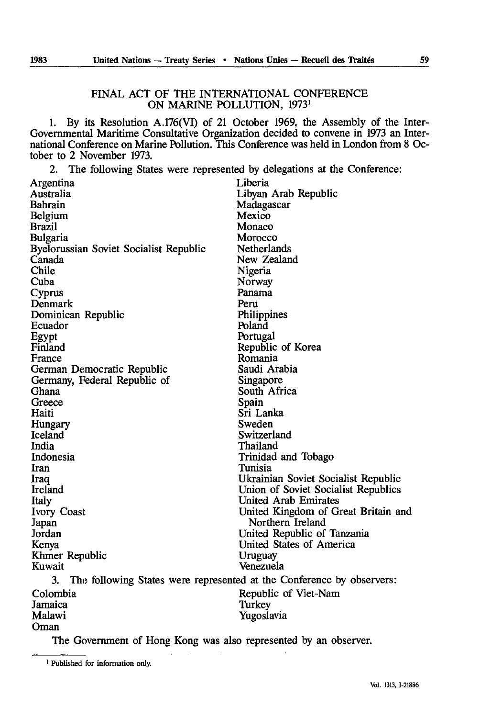#### FINAL ACT OF THE INTERNATIONAL CONFERENCE ON MARINE POLLUTION, 1973<sup>1</sup>

1. By its Resolution A.176(VI) of 21 October 1969, the Assembly of the Inter-Governmental Maritime Consultative Organization decided to convene in 1973 an Inter national Conference on Marine Pollution. This Conference was held in London from 8 Oc tober to 2 November 1973.

2. The following States were represented by delegations at the Conference:

| Argentina                                                                   | Liberia                             |  |  |  |
|-----------------------------------------------------------------------------|-------------------------------------|--|--|--|
| Australia                                                                   | Libyan Arab Republic                |  |  |  |
| Bahrain                                                                     | Madagascar                          |  |  |  |
| Belgium                                                                     | Mexico                              |  |  |  |
| Brazil                                                                      | Monaco                              |  |  |  |
| Bulgaria                                                                    | Morocco                             |  |  |  |
| Byelorussian Soviet Socialist Republic                                      | Netherlands                         |  |  |  |
| Canada                                                                      | New Zealand                         |  |  |  |
| Chile                                                                       | Nigeria                             |  |  |  |
| Cuba                                                                        | Norway                              |  |  |  |
| Cyprus                                                                      | Panama                              |  |  |  |
| Denmark                                                                     | Peru                                |  |  |  |
| Dominican Republic                                                          | Philippines                         |  |  |  |
| Ecuador                                                                     | Poland                              |  |  |  |
| Egypt                                                                       | Portugal                            |  |  |  |
| Finland                                                                     | Republic of Korea                   |  |  |  |
| France                                                                      | Romania                             |  |  |  |
| German Democratic Republic                                                  | Saudi Arabia                        |  |  |  |
| Germany, Federal Republic of                                                | Singapore                           |  |  |  |
| Ghana                                                                       | South Africa                        |  |  |  |
| Greece                                                                      | Spain                               |  |  |  |
| Haiti                                                                       | Sri Lanka                           |  |  |  |
| Hungary                                                                     | Sweden                              |  |  |  |
| Iceland                                                                     | Switzerland                         |  |  |  |
| India                                                                       | Thailand                            |  |  |  |
| Indonesia                                                                   | Trinidad and Tobago                 |  |  |  |
| Iran                                                                        | Tunisia                             |  |  |  |
| Iraq                                                                        | Ukrainian Soviet Socialist Republic |  |  |  |
| Ireland                                                                     | Union of Soviet Socialist Republics |  |  |  |
| Italy                                                                       | United Arab Emirates                |  |  |  |
| Ivory Coast                                                                 | United Kingdom of Great Britain and |  |  |  |
| Japan                                                                       | Northern Ireland                    |  |  |  |
| Jordan                                                                      | United Republic of Tanzania         |  |  |  |
| Kenya                                                                       | United States of America            |  |  |  |
| Khmer Republic                                                              | Uruguay                             |  |  |  |
| Kuwait                                                                      | Venezuela                           |  |  |  |
| 3.<br>The following States were represented at the Conference by observers: |                                     |  |  |  |
| Colombia                                                                    | Republic of Viet-Nam                |  |  |  |
| Jamaica                                                                     | Turkey                              |  |  |  |
| Malawi                                                                      | Yugoslavia                          |  |  |  |
| Oman                                                                        |                                     |  |  |  |

The Government of Hong Kong was also represented by an observer.

<sup>&</sup>lt;sup>1</sup> Published for information only.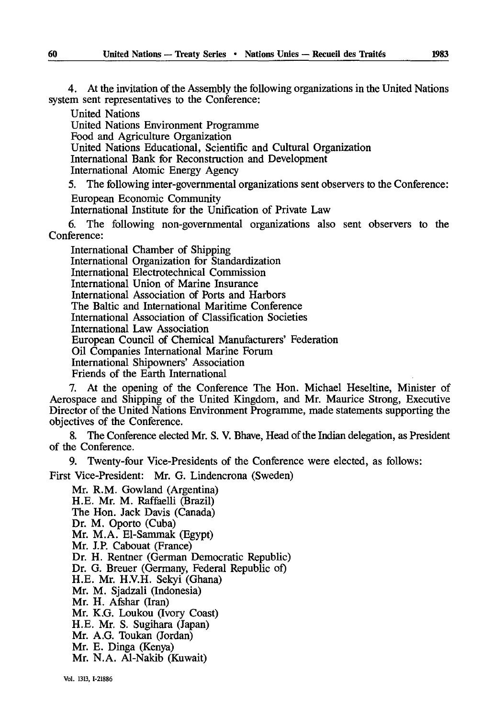4. At the invitation of the Assembly the following organizations in the United Nations system sent representatives to the Conference:

United Nations

United Nations Environment Programme

Food and Agriculture Organization

United Nations Educational, Scientific and Cultural Organization

International Bank for Reconstruction and Development

International Atomic Energy Agency

5. The following inter-governmental organizations sent observers to the Conference: European Economic Community

International Institute for the Unification of Private Law

6. The following non-governmental organizations also sent observers to the Conference:

International Chamber of Shipping International Organization for Standardization International Electrotechnical Commission International Union of Marine Insurance International Association of Ports and Harbors The Baltic and International Maritime Conference International Association of Classification Societies International Law Association European Council of Chemical Manufacturers' Federation Oil Companies International Marine Forum International Shipowners' Association Friends of the Earth International

7. At the opening of the Conference The Hon. Michael Heseltine, Minister of Aerospace and Shipping of the United Kingdom, and Mr. Maurice Strong, Executive Director of the United Nations Environment Programme, made statements supporting the objectives of the Conference.

8. The Conference elected Mr. S. V. Bhave, Head of the Indian delegation, as President of the Conference.

9. Twenty-four Vice-Presidents of the Conference were elected, as follows:

First Vice-President: Mr. G. Lindencrona (Sweden)

Mr. R.M. Gowland (Argentina) H.E. Mr. M. Raffaelli (Brazil) The Hon. Jack Davis (Canada) Dr. M. Oporto (Cuba) Mr. M.A. El-Sammak (Egypt) Mr. J.P. Cabouat (France) Dr. H. Rentner (German Democratic Republic) Dr. G. Breuer (Germany, Federal Republic of) H.E. Mr. H.V.H. Sekyi (Ghana) Mr. M. Sjadzali (Indonesia) Mr. H. Afshar (Iran) Mr. K.G. Loukou (Ivory Coast) H.E. Mr. S. Sugihara (Japan) Mr. A.G. Toukan (Jordan) Mr. E. Dinga (Kenya) Mr. N.A. Al-Nakib (Kuwait)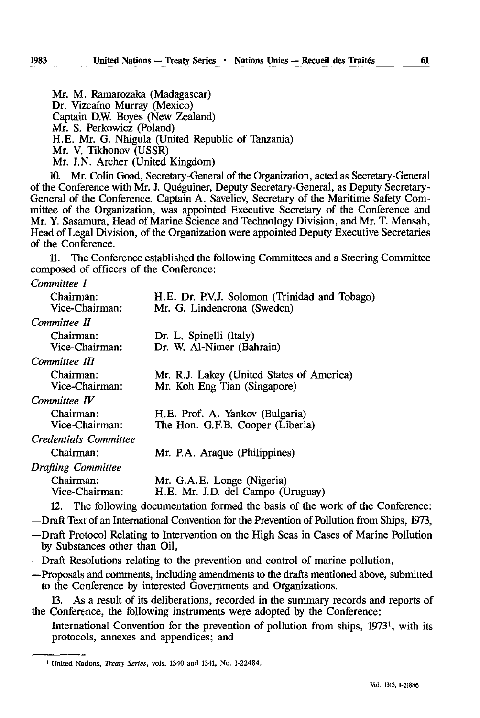Mr. M. Ramarozaka (Madagascar) Dr. Vizcaino Murray (Mexico) Captain D.W. Boyes (New Zealand) Mr. S. Perkowicz (Poland) H.E. Mr. G. Nhigula (United Republic of Tanzania) Mr. V. Tikhonov (USSR) Mr. J.N. Archer (United Kingdom)

10. Mr. Colin Goad, Secretary-General of the Organization, acted as Secretary-General of the Conference with Mr. J. Quéguiner, Deputy Secretary-General, as Deputy Secretary-General of the Conference. Captain A. Saveliev, Secretary of the Maritime Safety Com mittee of the Organization, was appointed Executive Secretary of the Conference and Mr. Y. Sasamura, Head of Marine Science and Technology Division, and Mr. T. Mensah, Head of Legal Division, of the Organization were appointed Deputy Executive Secretaries of the Conference.

11. The Conference established the following Committees and a Steering Committee composed of officers of the Conference:

#### *Committee I*

| Chairman:                 | H.E. Dr. P.V.J. Solomon (Trinidad and Tobago)                       |
|---------------------------|---------------------------------------------------------------------|
| Vice-Chairman:            | Mr. G. Lindencrona (Sweden)                                         |
| Committee II              |                                                                     |
| Chairman:                 | Dr. L. Spinelli (Italy)                                             |
| Vice-Chairman:            | Dr. W. Al-Nimer (Bahrain)                                           |
| Committee III             |                                                                     |
| Chairman:                 | Mr. R.J. Lakey (United States of America)                           |
| Vice-Chairman:            | Mr. Koh Eng Tian (Singapore)                                        |
| Committee IV              |                                                                     |
| Chairman:                 | H.E. Prof. A. Yankov (Bulgaria)                                     |
| Vice-Chairman:            | The Hon. G.F.B. Cooper (Liberia)                                    |
| Credentials Committee     |                                                                     |
| Chairman:                 | Mr. P.A. Araque (Philippines)                                       |
| <b>Drafting Committee</b> |                                                                     |
| Chairman:                 | Mr. G.A.E. Longe (Nigeria)                                          |
| Vice-Chairman:            | H.E. Mr. J.D. del Campo (Uruguay)                                   |
|                           | 12. The following documentation formed the basis of the work of the |
|                           |                                                                     |

—Draft Text of an International Convention for the Prevention of Pollution from Ships, 1973,

—Draft Protocol Relating to Intervention on the High Seas in Cases of Marine Pollution by Substances other than Oil,

—Draft Resolutions relating to the prevention and control of marine pollution,

—Proposals and comments, including amendments to the drafts mentioned above, submitted to the Conference by interested Governments and Organizations.

13. As a result of its deliberations, recorded in the summary records and reports of the Conference, the following instruments were adopted by the Conference:

International Convention for the prevention of pollution from ships,  $1973<sup>1</sup>$ , with its protocols, annexes and appendices; and

Conference:

<sup>&</sup>lt;sup>1</sup> United Nations, *Treaty Series*, vols. 1340 and 1341, No. I-22484.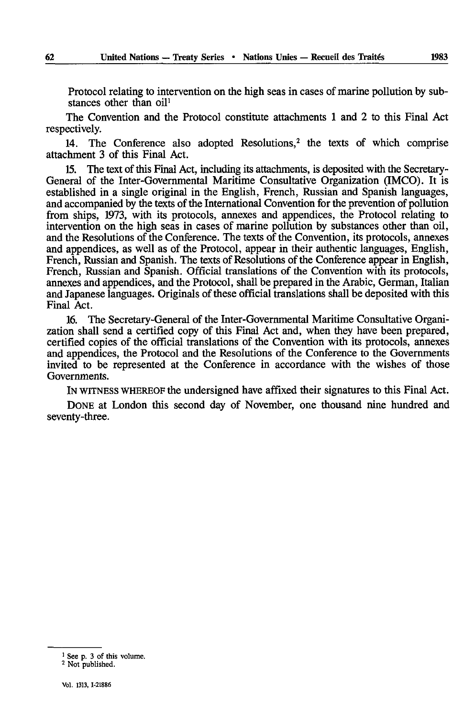Protocol relating to intervention on the high seas in cases of marine pollution by sub stances other than oil<sup>1</sup>

The Convention and the Protocol constitute attachments 1 and 2 to this Final Act respectively.

14. The Conference also adopted Resolutions,<sup>2</sup> the texts of which comprise attachment 3 of this Final Act.

15. The text of this Final Act, including its attachments, is deposited with the Secretary-General of the Inter-Governmental Maritime Consultative Organization (IMCO). It is established in a single original in the English, French, Russian and Spanish languages, and accompanied by the texts of the International Convention for the prevention of pollution from ships, 1973, with its protocols, annexes and appendices, the Protocol relating to intervention on the high seas in cases of marine pollution by substances other than oil, and the Resolutions of the Conference. The texts of the Convention, its protocols, annexes and appendices, as well as of the Protocol, appear in their authentic languages, English, French, Russian and Spanish. The texts of Resolutions of the Conference appear in English, French, Russian and Spanish. Official translations of the Convention with its protocols, annexes and appendices, and the Protocol, shall be prepared in the Arabic, German, Italian and Japanese languages. Originals of these official translations shall be deposited with this Final Act.

16. The Secretary-General of the Inter-Governmental Maritime Consultative Organi zation shall send a certified copy of this Final Act and, when they have been prepared, certified copies of the official translations of the Convention with its protocols, annexes and appendices, the Protocol and the Resolutions of the Conference to the Governments invited to be represented at the Conference in accordance with the wishes of those Governments.

IN WITNESS WHEREOF the undersigned have affixed their signatures to this Final Act.

DONE at London this second day of November, one thousand nine hundred and seventy-three.

<sup>1</sup> See p. 3 of this volume.

<sup>2</sup> Not published.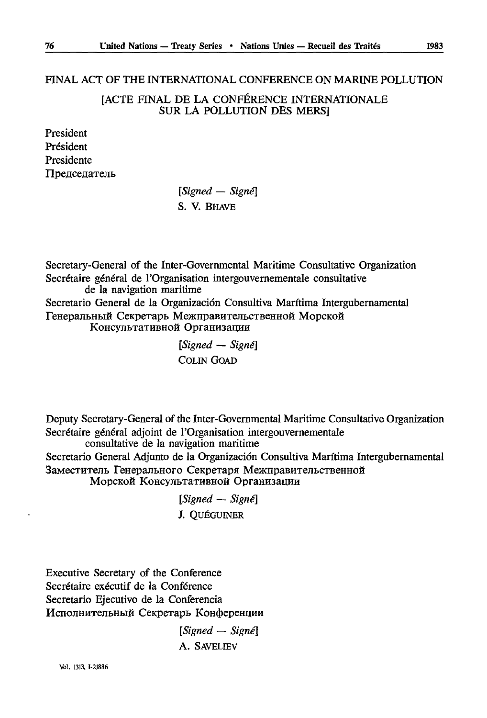# FINAL ACT OF THE INTERNATIONAL CONFERENCE ON MARINE POLLUTION

[ACTE FINAL DE LA CONFÉRENCE INTERNATIONALE SUR LA POLLUTION DES MERS]

President Président Presidente Председатель

> *[Signed — Signé]*  S. V. BHAVE

Secretary-General of the Inter-Governmental Maritime Consultative Organization Secrétaire général de l'Organisation intergouvernementale consultative de la navigation maritime Secretario General de la Organizacion Consultiva Maritima Intergubernamental Генеральный Секретарь Межправительственной Морской<br>Консультативной Организации

> *[Signed — Signé]*  COLIN GOAD

Deputy Secretary-General of the Inter-Governmental Maritime Consultative Organization Secrétaire général adjoint de l'Organisation intergouvernementale consultative de la navigation maritime

Secretario General Adjunto de la Organizacion Consultiva Maritima Intergubernamental Заместитель Генерального Секретаря Межправительственной Морской Консультативной Организации

> *[Signed* — *Signé] J.* QUÉGUINER

Executive Secretary of the Conference Secrétaire exécutif de la Conférence Secretario Ejecutivo de la Conferencia Исполнительный Секретарь Конференции

> *[Signed — Signé]*  A. SAVELIEV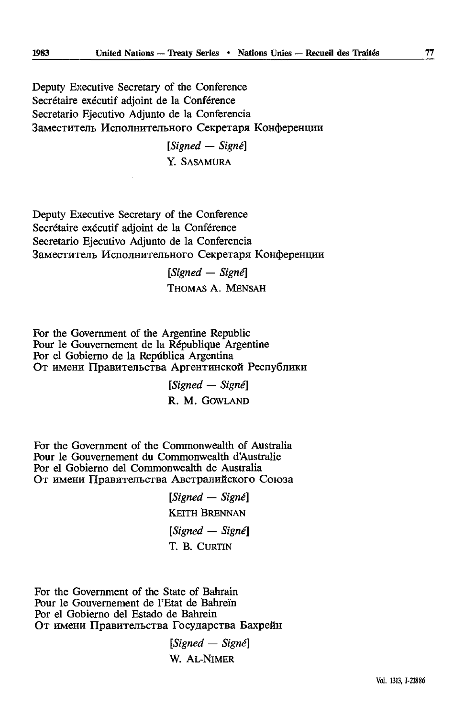Deputy Executive Secretary of the Conference Secrétaire exécutif adjoint de la Conférence Secretario Ejecutivo Adjunto de la Conferencia Заместитель Исполнительного Секретаря Конференции

> *[Signed — Signé]*  Y. SASAMURA

Deputy Executive Secretary of the Conference Secrétaire exécutif adjoint de la Conférence Secretario Ejecutivo Adjunto de la Conferencia Заместитель Исполнительного Секретаря Конференции

> *[Signed — Signé}*  THOMAS A. MENSAH

For thé Government of the Argentine Republic Pour le Gouvernement de la République Argentine Por el Gobierno de la República Argentina От имени Правительства Аргентинской Республики

> *[Signed* — *Signé]*  R. M. GOWLAND

For thé Government of the Commonwealth of Australia Pour le Gouvernement du Commonwealth d'Australie Por el Gobierno del Commonwealth de Australia От имени Правительства Австралийского Союза

> *[Signed — Signé]*  **KEITH BRENNAN** *[Signed — Signé]*  T. B. CURTIN

For the Government of the State of Bahrain Pour le Gouvernement de l'Etat de Bahrein Por el Gobierno del Estado de Bahrein От имени Правительства Государства Бахрейн

> *[Signed — Signé]*  W. AL-NiMER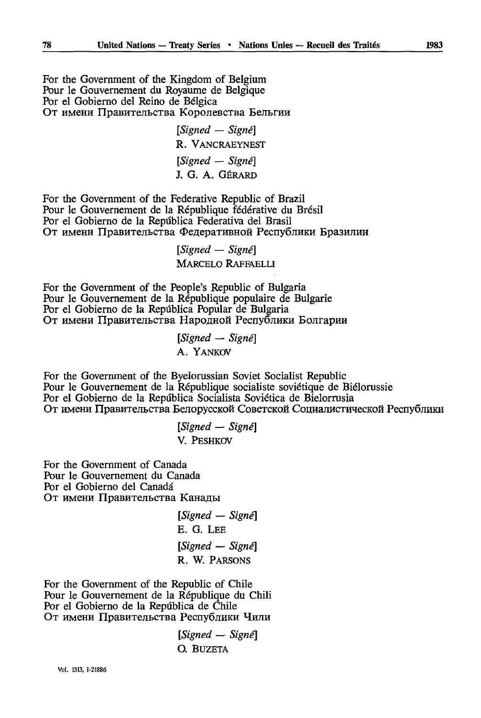For thé Government of the Kingdom of Belgium Pour le Gouvernement du Royaume de Belgique Por el Gobierno del Reino de Bélgica От имени Правительства Королевства Бельгии

> *[Signed* — *Signé]*  R. VANCRAEYNEST *[Signed* — *Signé]*  J. G. A. GÉRARD

For thé Government of the Federative Republic of Brazil Pour le Gouvernement de la République fédérative du Brésil Por el Gobierno de la Repiîblica Federativa del Brasil От имени Правительства Федеративной Республики Бразилии

> *[Signed — Signé]*  MARCELO RAFFAELLI

For thé Government of the People's Republic of Bulgaria Pour le Gouvernement de la République populaire de Bulgarie Por el Gobierno de la Repûblica Popular de Bulgaria От имени Правительства Народной Республики Болгарии

> *[Signed — Signé] A.* YANKOV

For thé Government of the Byelorussian Soviet Socialist Republic Pour le Gouvernement de la République socialiste soviétique de Biélorussie Por el Gobierno de la Repùblica Socialista Soviética de Bielorrusia От имени Правительства Белорусской Советской Социалистической Республики

> *[Signed* — *Signé] V.* PESHKOV

For thé Government of Canada Pour le Gouvernement du Canada Por el Gobierno del Canada От имени Правительства Канады

> *[Signed* — *Signé] E.* G. LEE *[Signed* —- *Signé]*  R. W. PARSONS

For thé Government of the Republic of Chile Pour le Gouvernement de la République du Chili Por el Gobierno de la Repùblica de Chile От имени Правительства Республики Чили

> *[Signed — Signé] O.* BUZETA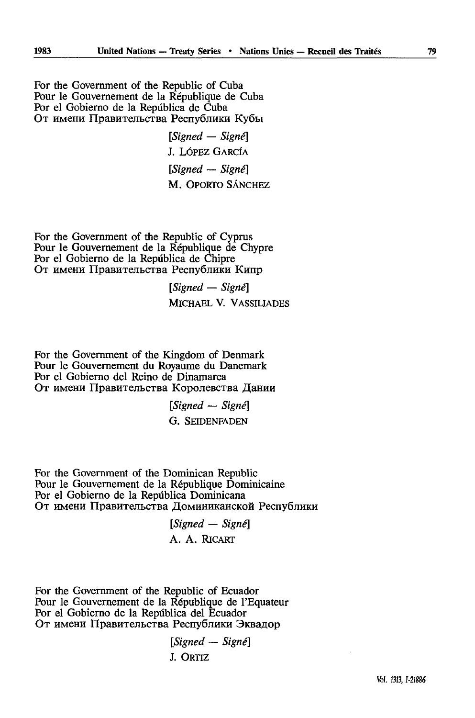For thé Government of the Republic of Cuba Pour le Gouvernement de la République de Cuba Por el Gobierno de la Repûblica de Cuba От имени Правительства Республики Кубы

> *[Signed — Signé]*  J. LÔPEZ GARCÎA *[Signed — Signé]*  M. OPORTO SÂNCHEZ

For thé Government of the Republic of Cyprus Pour le Gouvernement de la République de Chypre Por el Gobierno de la Repûblica de Chipre От имени Правительства Республики Кипр

> *[Signed — Signé]*  MICHAEL V. VASSILIADES

For thé Government of the Kingdom of Denmark Pour le Gouvernement du Royaume du Danemark Por el Gobierno del Reino de Dinamarca От имени Правительства Королевства Дании

> *[Signed — Signé]*  G. SEIDENFADEN

For thé Government of the Dominican Republic Pour le Gouvernement de la République Dominicaine Por el Gobierno de la Repûblica Dominicana От имени Правительства Доминиканской Республики

> *[Signed — Signé]*  A. A. RICART

For thé Government of the Republic of Ecuador Pour le Gouvernement de la République de l'Equateur Por el Gobierno de la Repûblica del Ecuador От имени Правительства Республики Эквадор

> *[Signed — Signé]*  J. ORTIZ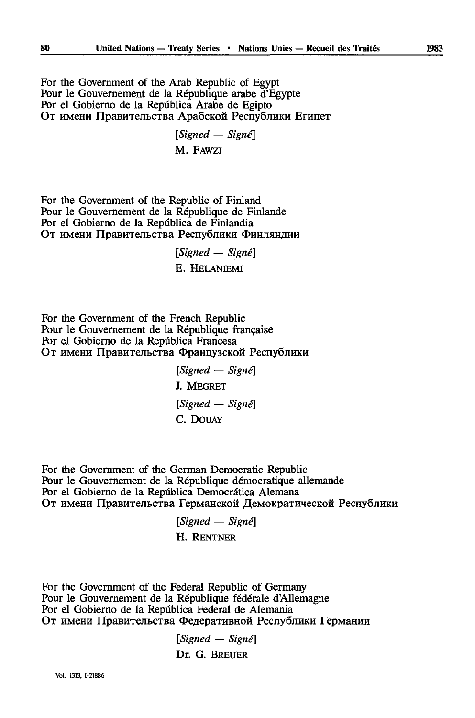For thé Government of the Arab Republic of Egypt Pour le Gouvernement de la République arabe d'Egypte Por el Gobierno de la Repûblica Arabe de Egipto От имени Правительства Арабской Республики Египет

> *[Signed — Signé]*  M. FAWZI

For thé Government of the Republic of Finland Pour le Gouvernement de la République de Finlande Por el Gobierno de la República de Finlandia От имени Правительства Республики Финляндии

> *[Signed — Signé}*  E. HELANIEMI

For thé Government of the French Republic Pour le Gouvernement de la République française Por el Gobierno de la Repûblica Francesa От имени Правительства Французской Республики

> *[Signed — Signé}*  J. MEGRET *[Signed — Signé] C.* DOUAY

For thé Government of the German Democratic Republic Pour le Gouvernement de la République démocratique allemande Por el Gobierno de la Repûblica Democràtica Alemana От имени Правительства Германской Демократической Республики

> *[Signed — Signé]*  H. RENTNER

For thé Government of the Federal Republic of Germany Pour le Gouvernement de la République fédérale d'Allemagne Por el Gobierno de la Repûblica Federal de Alemania От имени Правительства Федеративной Республики Германии

*[Signed — Signé]* 

Dr. G. BREUER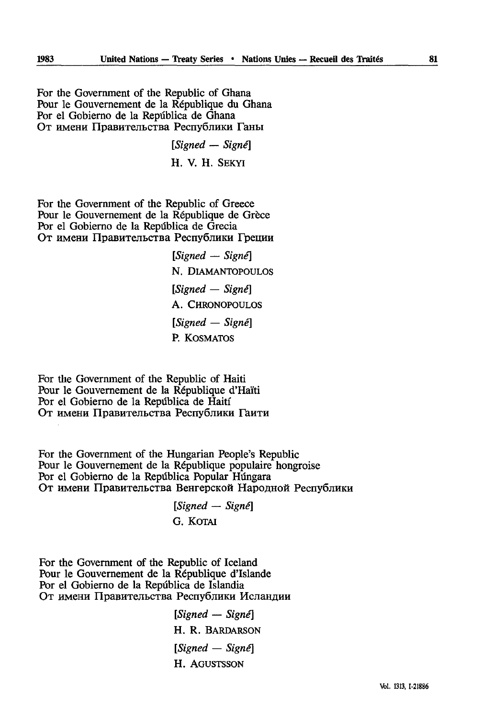For thé Government of the Republic of Ghana Pour le Gouvernement de la République du Ghana Por el Gobierno de la República de Ghana От имени Правительства Республики Ганы

> *[Signed — Signé]*  H. V. H. SEKYI

For thé Government of the Republic of Greece Pour le Gouvernement de la République de Grèce Por el Gobierno de la Repûblica de Grecia От имени Правительства Республики Греции

> *[Signed* — *Signé]*  N. DlAMANTOPOULOS *[Signed — Signé]*  A. CHRONOPOULOS *[Signed — Signé]*  P. KOSMATOS

For the Government of the Republic of Haiti Pour le Gouvernement de la République d'Haïti Por el Gobierno de la Repûblica de Haiti От имени Правительства Республики Гаити

For thé Government of the Hungarian People's Republic Pour le Gouvernement de la République populaire hongroise Por el Gobierno de la Repûblica Popular Hûngara От имени Правительства Венгерской Народной Республики

> *[Signed — Signé] G.* KOTAI

For thé Government of the Republic of Iceland Pour le Gouvernement de la République d'Islande Por el Gobierno de la Repûblica de Islandia От имени Правительства Республики Исландии

> *[Signed* — *Signe]*  H. R. BARDARSON *[Signed — Signé]*  H. AGUSTSSON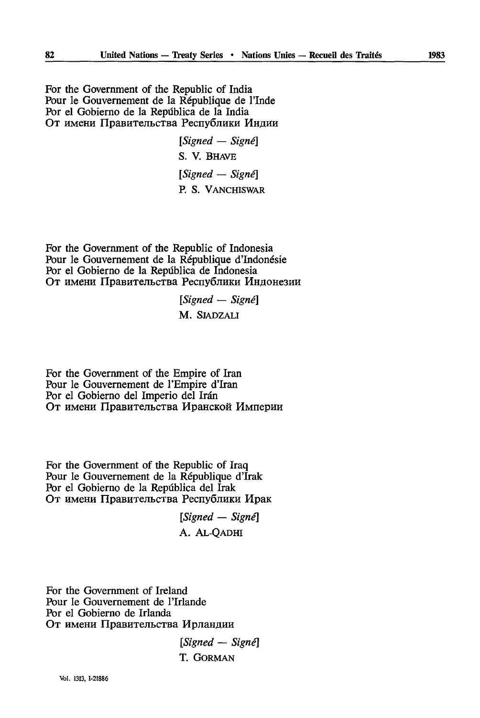For thé Government of the Republic of India Pour le Gouvernement de la République de l'Inde Por el Gobierno de la Repûblica de la India От имени Правительства Республики Индии

> *[Signed — Signé] S.* V. BHAVE *[Signed — Signé]*  P. S. VANCHISWAR

For thé Government of the Republic of Indonesia Pour le Gouvernement de la République d'Indonésie Por el Gobierno de la Repûblica de Indonesia От имени Правительства Республики Индонезии

> *[Signed — Signé]*  M. SJADZALI

For thé Government of the Empire of Iran Pour le Gouvernement de l'Empire d'Iran Por el Gobierno del Imperio del Irán От имени Правительства Иранской Империи

For thé Government of the Republic of Iraq Pour le Gouvernement de la République d'Irak Por el Gobierno de la República del Irak От имени Правительства Республики Ирак

> *[Signed — Signé]*  A. AL-QADHI

For thé Government of Ireland Pour le Gouvernement de l'Irlande Por el Gobierno de Irlanda От имени Правительства Ирландии

> *[Signed — Signé]*  T. GORMAN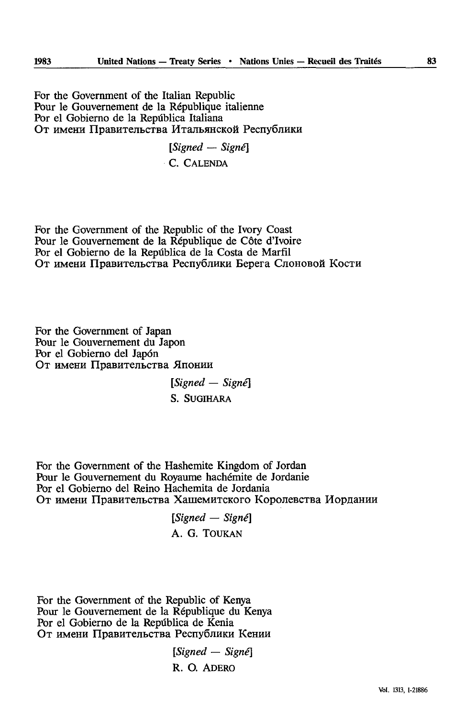For thé Government of the Italian Republic Pour le Gouvernement de la République italienne Por el Gobierno de la Repûblica Italiana От имени Правительства Итальянской Республики

> *[Signed — Signé] C.* CALENDA

For thé Government of the Republic of the Ivory Coast Pour le Gouvernement de la République de Côte d'Ivoire Por el Gobierno de la Repûblica de la Costa de Marfïl От имени Правительства Республики Берега Слоновой Кости

For thé Government of Japan Pour le Gouvernement du Japon Por el Gobierno del Japon От имени Правительства Японии

> *[Signed — Signé]*  S. SUGIHARA

For thé Government of the Hashemite Kingdom of Jordan Pour le Gouvernement du Royaume hachémite de Jordanie Por el Gobierno del Reino Hachemita de Jordania От имени Правительства Хашемитского Королевства Иордании

> *[Signed* — *Signé]*  A. G. TOUKAN

For thé Government of the Republic of Kenya Pour le Gouvernement de la République du Kenya Por el Gobierno de la Repûblica de Kenia От имени Правительства Республики Кении

> *[Signed — Signé]*  R. O. ADERO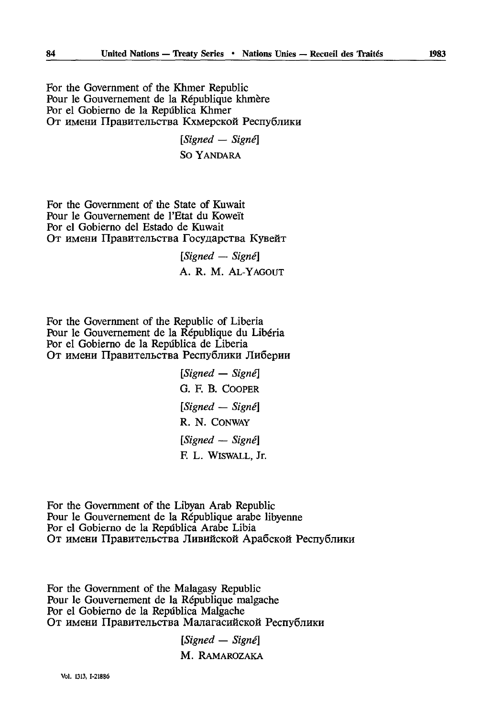For thé Government of the Khmer Republic Pour le Gouvernement de la République khmère Por el Gobierno de la República Khmer От имени Правительства Кхмерской Республики

> *[Signed — Signé]*  So YANDARA

For thé Government of the State of Kuwait Pour le Gouvernement de l'Etat du Koweït Por el Gobierno del Estado de Kuwait От имени Правительства Государства Кувейт

> *[Signed — Signé]*  A. R. M. AL-YAGOUT

For thé Government of the Republic of Liberia Pour le Gouvernement de la République du Libéria Por el Gobierno de la República de Liberia От имени Правительства Республики Либерии

> *[Signed — Signé] G.* F. B. COOPER *[Signed — Signé]*  R. N. CONWAY *[Signed — Signé]*  F. L. WISWALL, Jr.

For thé Government of the Libyan Arab Republic Pour le Gouvernement de la République arabe libyenne Por el Gobierno de la República Arabe Libia От имени Правительства Ливийской Арабской Республики

For thé Government of the Malagasy Republic Pour le Gouvernement de la République malgache Por el Gobierno de la Repûblica Malgache От имени Правительства Малагасийской Республики

> *[Signed — Signé]*  M. RAMAROZAKA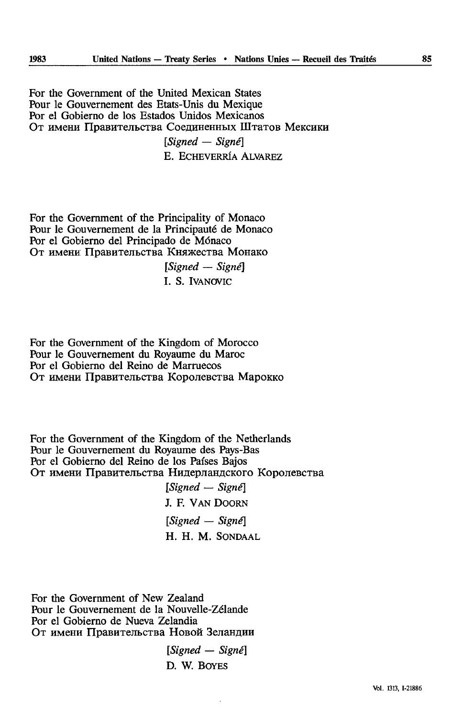For thé Government of the United Mexican States Pour le Gouvernement des Etats-Unis du Mexique Por el Gobierno de los Estados Unidos Mexicanos От имени Правительства Соединенных Штатов Мексики *[Signed — Signé] E.* ECHEVERRÎA ALVAREZ

For thé Government of the Principality of Monaco Pour le Gouvernement de la Principauté de Monaco Por el Gobierno del Principado de Monaco От имени Правительства Княжества Монако

*[Signed — Signé]*  I. S. IVANOVIC

For thé Government of the Kingdom of Morocco Pour le Gouvernement du Royaume du Maroc Por el Gobierno del Reino de Marruecos От имени Правительства Королевства Марокко

For thé Government of the Kingdom of the Netherlands Pour le Gouvernement du Royaume des Pays-Bas Por el Gobierno del Reino de los Pafses Bajos От имени Правительства Нидерландского Королевства

*[Signed* — *Signé]*  J. F. VAN DOORN *[Signed — Signé]*  H. H. M. SONDAAL

For thé Government of New Zealand Pour le Gouvernement de la Nouvelle-Zélande Por el Gobierno de Nueva Zelandia От имени Правительства Новой Зеландии

> *[Signed* — *Signé]*  D. W. BOYES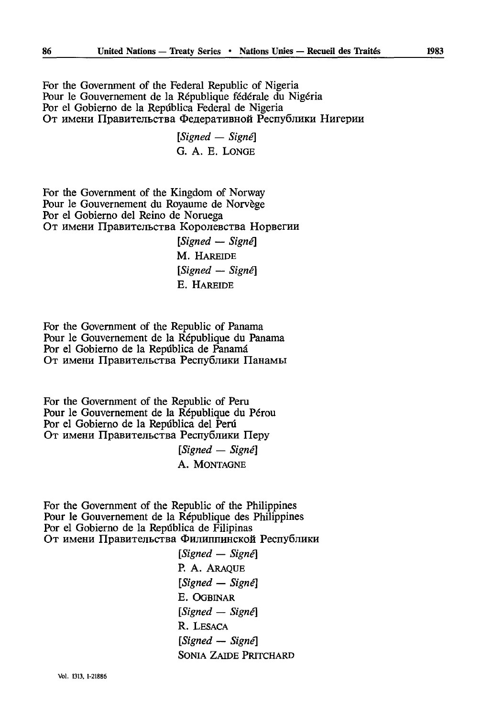For the Government of the Federal Republic of Nigeria Pour le Gouvernement de la République fédérale du Nigéria Por el Gobierno de la República Federal de Nigeria От имени Правительства Федеративной Республики Нигерии

> *[Signed — Signé]*  G. A. E. LONGE

For thé Government of the Kingdom of Norway Pour le Gouvernement du Royaume de Norvège Por el Gobierno del Reino de Noruega От имени Правительства Королевства Норвегии *[Signed — Signé]* 

M. HAREIDE *[Signed — Signé] E.* HAREIDE

For thé Government of the Republic of Panama Pour le Gouvernement de la République du Panama Por el Gobierno de la República de Panamá От имени Правительства Республики Панамы

For thé Government of the Republic of Peru Pour le Gouvernement de la République du Pérou Por el Gobierno de la República del Perú От имени Правительства Республики Перу

> *[Signed — Signé]*  A. MONTAGNE

For thé Government of the Republic of the Philippines Pour le Gouvernement de la République des Philippines Por el Gobierno de la Repûblica de Filipinas От имени Правительства Филиппинской Республики

> *[Signed — Signé]*  P. A. ARAQUE *[Signed — Signe]*  E. OGBINAR *[Signed — Signé]*  R. LESACA *[Signed — Signé]*  SONIA ZAIDE PRITCHARD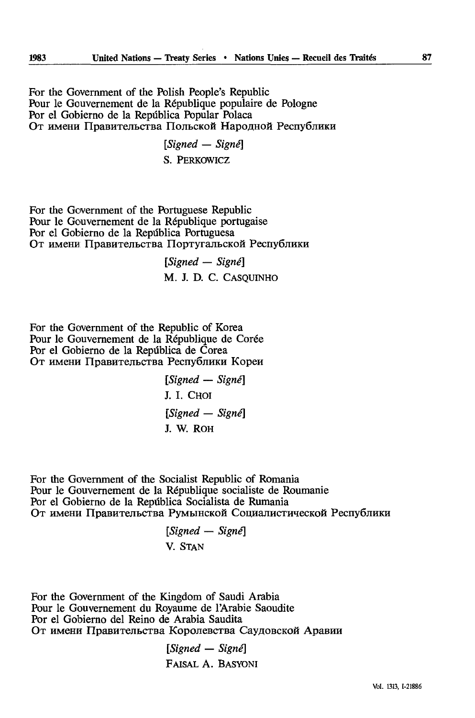For thé Government of the Polish People's Republic Pour le Gouvernement de la République populaire de Pologne Por el Gobierno de la Repûblica Popular Polaca От имени Правительства Польской Народной Республики

> *[Signed — Signé]*  S. PERKOWICZ

For thé Government of the Portuguese Republic Pour le Gouvernement de la République portugaise Por el Gobierno de la Repûblica Portuguesa От имени Правительства Португальской Республики

> *[Signed — Signé]* M. J. D. C. CASQUINHO

For thé Government of the Republic of Korea Pour le Gouvernement de la République de Corée Por el Gobierno de la Repûblica de Corea От имени Правительства Республики Кореи

> *[Signed — Signé}*  J. I. CHOI *[Signed — Signé}*  J. W. ROH

For thé Government of the Socialist Republic of Romania Pour le Gouvernement de la République socialiste de Roumanie Por el Gobierno de la República Socialista de Rumania От имени Правительства Румынской Социалистической Республики

> *[Signed — Signé}*  V. STAN

For thé Government of the Kingdom of Saudi Arabia Pour le Gouvernement du Royaume de l'Arabie Saoudite Por el Gobierno del Reino de Arabia Saudita От имени Правительства Королевства Саудовской Аравии

> *[Signed — Signé]*  FAISAL A. BASYONI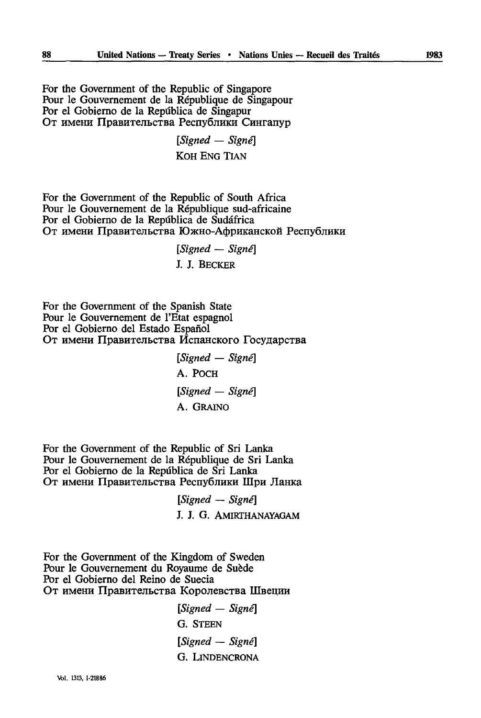For thé Government of the Republic of Singapore Pour le Gouvernement de la République de Singapour Por el Gobierno de la República de Singapur От имени Правительства Республики Сингапур

> *[Signed — Signé]*  KOH ENG TIAN

For thé Government of the Republic of South Africa Pour le Gouvernement de la République sud-africaine Por el Gobierno de la Reptiblica de Sudâfrica От имени Правительства Южно-Африканской Республики

*[Signed — Signé]* 

*I J.* BECKER

For thé Government of the Spanish State Pour le Gouvernement de l'Etat espagnol Por el Gobierno del Estado Español От имени Правительства Испанского Государства

> *[Signed — Signé]*  A. POCH *[Signed — Signé]*  A. GRAINO

For thé Government of the Republic of Sri Lanka Pour le Gouvernement de la République de Sri Lanka Por el Gobierno de la Repdblica de Sri Lanka От имени Правительства Республики Шри Ланка

> *[Signed — Signé]* J. J. G. AMIRTHANAYAGAM

For thé Government of the Kingdom of Sweden Pour le Gouvernement du Royaume de Suède Por el Gobierno del Reino de Suecia От имени Правительства Королевства Швеции

> *[Signed — Signé] G.* STEEN *[Signed — Signé] G.* LlNDENCRONA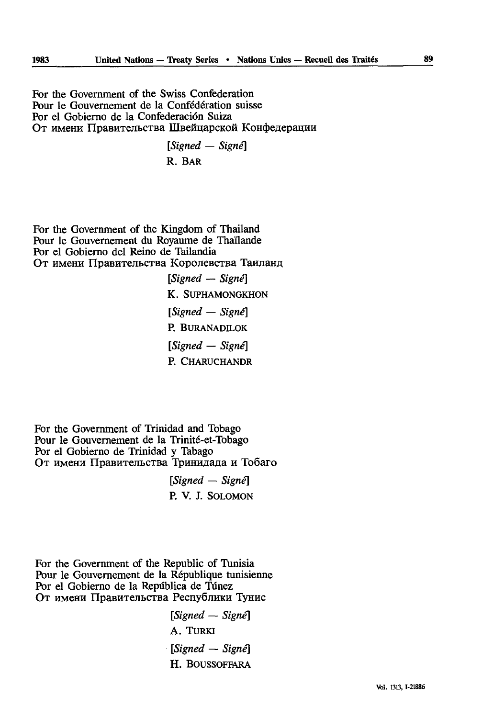For thé Government of the Swiss Confederation Pour le Gouvernement de la Confédération suisse Por el Gobierno de la Confederación Suiza От имени Правительства Швейцарской Конфедерации

> *[Signed — Signé]*  R. BAR

For thé Government of the Kingdom of Thailand Pour le Gouvernement du Royaume de Thaïlande Por el Gobierno del Reino de Tailandia От имени Правительства Королевства Таиланд

> *[Signed — Signé]*  K. SUPHAMONGKHON *[Signed — Signé]*  P. BURANADILOK *[Signed — Signé]*  P. CHARUCHANDR

For thé Government of Trinidad and Tobago Pour le Gouvernement de la Trinité-et-Tobago Por el Gobierno de Trinidad y Tabago От имени Правительства Тринидада и Тобаго

> *[Signed — Signé]*  P. V. J. SOLOMON

For thé Government of the Republic of Tunisia Pour le Gouvernement de la République tunisienne Por el Gobierno de la Repûblica de Tûnez От имени Правительства Республики Тунис

> *[Signed — Signé]*  A. TURKI *[Signed* — *Signé]*  H. BOUSSOFFARA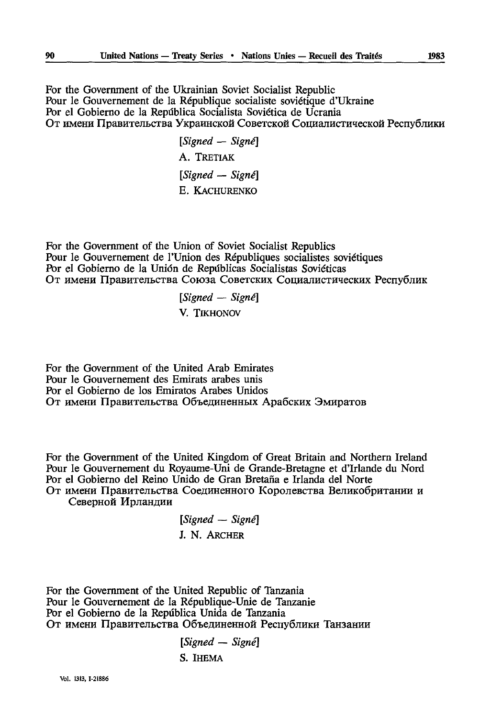For thé Government of the Ukrainian Soviet Socialist Republic Pour le Gouvernement de la République socialiste soviétique d'Ukraine Por el Gobierno de la República Socialista Soviética de Ucrania От имени Правительства Украинской Советской Социалистической Республики

> *[Signed — Signé]*  A. TRETIAK *[Signed — Signé] E.* KACHURENKO

For thé Government of the Union of Soviet Socialist Republics Pour le Gouvernement de l'Union des Républiques socialistes soviétiques Por el Gobierno de la Union de Repûblicas Socialistas Soviéticas От имени Правительства Союза Советских Социалистических Республик

> *[Signed* — *Signé]*  V. TIKHONOV

For thé Government of the United Arab Emirates Pour le Gouvernement des Emirats arabes unis Por el Gobierno de los Emiratos Arabes Unidos От имени Правительства Объединенных Арабских Эмиратов

For thé Government of the United Kingdom of Great Britain and Northern Ireland Pour le Gouvernement du Royaume-Uni de Grande-Bretagne et d'Irlande du Nord Por el Gobierno del Reino Unido de Gran Bretaña e Irlanda del Norte От имени Правительства Соединенного Королевства Великобритании и

Северной Ирландии

*[Signed — Signé] ].* N. ARCHER

For thé Government of the United Republic of Tanzania Pour le Gouvernement de la République-Unie de Tanzanie Por el Gobierno de la República Unida de Tanzania От имени Правительства Объединенной Республики Танзании

> *[Signed — Signé] S.* IHEMA